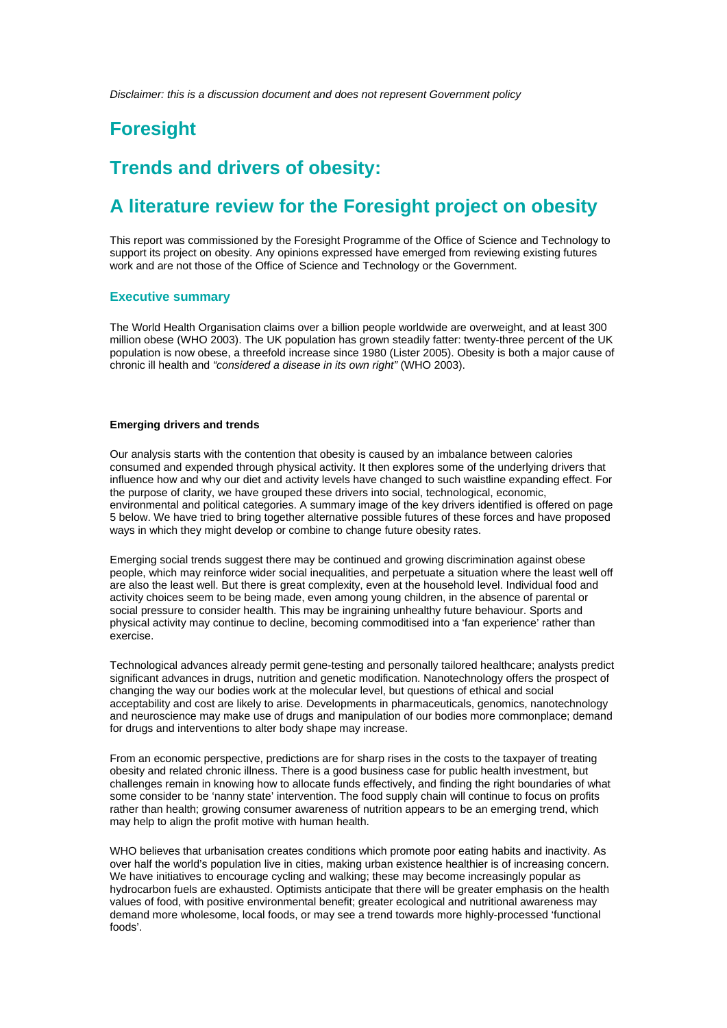*Disclaimer: this is a discussion document and does not represent Government policy* 

# **Foresight**

# **Trends and drivers of obesity:**

# **A literature review for the Foresight project on obesity**

This report was commissioned by the Foresight Programme of the Office of Science and Technology to support its project on obesity. Any opinions expressed have emerged from reviewing existing futures work and are not those of the Office of Science and Technology or the Government.

#### **Executive summary**

The World Health Organisation claims over a billion people worldwide are overweight, and at least 300 million obese (WHO 2003). The UK population has grown steadily fatter: twenty-three percent of the UK population is now obese, a threefold increase since 1980 (Lister 2005). Obesity is both a major cause of chronic ill health and *"considered a disease in its own right"* (WHO 2003).

#### **Emerging drivers and trends**

Our analysis starts with the contention that obesity is caused by an imbalance between calories consumed and expended through physical activity. It then explores some of the underlying drivers that influence how and why our diet and activity levels have changed to such waistline expanding effect. For the purpose of clarity, we have grouped these drivers into social, technological, economic, environmental and political categories. A summary image of the key drivers identified is offered on page 5 below. We have tried to bring together alternative possible futures of these forces and have proposed ways in which they might develop or combine to change future obesity rates.

Emerging social trends suggest there may be continued and growing discrimination against obese people, which may reinforce wider social inequalities, and perpetuate a situation where the least well off are also the least well. But there is great complexity, even at the household level. Individual food and activity choices seem to be being made, even among young children, in the absence of parental or social pressure to consider health. This may be ingraining unhealthy future behaviour. Sports and physical activity may continue to decline, becoming commoditised into a 'fan experience' rather than exercise.

Technological advances already permit gene-testing and personally tailored healthcare; analysts predict significant advances in drugs, nutrition and genetic modification. Nanotechnology offers the prospect of changing the way our bodies work at the molecular level, but questions of ethical and social acceptability and cost are likely to arise. Developments in pharmaceuticals, genomics, nanotechnology and neuroscience may make use of drugs and manipulation of our bodies more commonplace; demand for drugs and interventions to alter body shape may increase.

From an economic perspective, predictions are for sharp rises in the costs to the taxpayer of treating obesity and related chronic illness. There is a good business case for public health investment, but challenges remain in knowing how to allocate funds effectively, and finding the right boundaries of what some consider to be 'nanny state' intervention. The food supply chain will continue to focus on profits rather than health; growing consumer awareness of nutrition appears to be an emerging trend, which may help to align the profit motive with human health.

WHO believes that urbanisation creates conditions which promote poor eating habits and inactivity. As over half the world's population live in cities, making urban existence healthier is of increasing concern. We have initiatives to encourage cycling and walking; these may become increasingly popular as hydrocarbon fuels are exhausted. Optimists anticipate that there will be greater emphasis on the health values of food, with positive environmental benefit; greater ecological and nutritional awareness may demand more wholesome, local foods, or may see a trend towards more highly-processed 'functional foods'.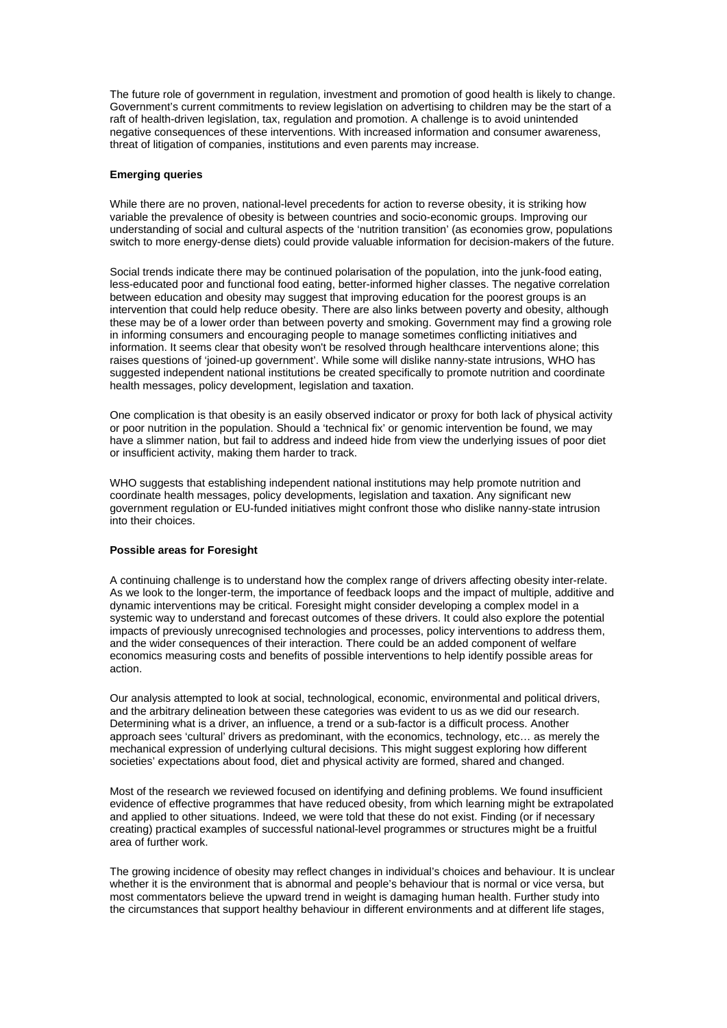The future role of government in regulation, investment and promotion of good health is likely to change. Government's current commitments to review legislation on advertising to children may be the start of a raft of health-driven legislation, tax, regulation and promotion. A challenge is to avoid unintended negative consequences of these interventions. With increased information and consumer awareness, threat of litigation of companies, institutions and even parents may increase.

#### **Emerging queries**

While there are no proven, national-level precedents for action to reverse obesity, it is striking how variable the prevalence of obesity is between countries and socio-economic groups. Improving our understanding of social and cultural aspects of the 'nutrition transition' (as economies grow, populations switch to more energy-dense diets) could provide valuable information for decision-makers of the future.

Social trends indicate there may be continued polarisation of the population, into the junk-food eating, less-educated poor and functional food eating, better-informed higher classes. The negative correlation between education and obesity may suggest that improving education for the poorest groups is an intervention that could help reduce obesity. There are also links between poverty and obesity, although these may be of a lower order than between poverty and smoking. Government may find a growing role in informing consumers and encouraging people to manage sometimes conflicting initiatives and information. It seems clear that obesity won't be resolved through healthcare interventions alone; this raises questions of 'joined-up government'. While some will dislike nanny-state intrusions, WHO has suggested independent national institutions be created specifically to promote nutrition and coordinate health messages, policy development, legislation and taxation.

One complication is that obesity is an easily observed indicator or proxy for both lack of physical activity or poor nutrition in the population. Should a 'technical fix' or genomic intervention be found, we may have a slimmer nation, but fail to address and indeed hide from view the underlying issues of poor diet or insufficient activity, making them harder to track.

WHO suggests that establishing independent national institutions may help promote nutrition and coordinate health messages, policy developments, legislation and taxation. Any significant new government regulation or EU-funded initiatives might confront those who dislike nanny-state intrusion into their choices.

#### **Possible areas for Foresight**

A continuing challenge is to understand how the complex range of drivers affecting obesity inter-relate. As we look to the longer-term, the importance of feedback loops and the impact of multiple, additive and dynamic interventions may be critical. Foresight might consider developing a complex model in a systemic way to understand and forecast outcomes of these drivers. It could also explore the potential impacts of previously unrecognised technologies and processes, policy interventions to address them, and the wider consequences of their interaction. There could be an added component of welfare economics measuring costs and benefits of possible interventions to help identify possible areas for action.

Our analysis attempted to look at social, technological, economic, environmental and political drivers, and the arbitrary delineation between these categories was evident to us as we did our research. Determining what is a driver, an influence, a trend or a sub-factor is a difficult process. Another approach sees 'cultural' drivers as predominant, with the economics, technology, etc… as merely the mechanical expression of underlying cultural decisions. This might suggest exploring how different societies' expectations about food, diet and physical activity are formed, shared and changed.

Most of the research we reviewed focused on identifying and defining problems. We found insufficient evidence of effective programmes that have reduced obesity, from which learning might be extrapolated and applied to other situations. Indeed, we were told that these do not exist. Finding (or if necessary creating) practical examples of successful national-level programmes or structures might be a fruitful area of further work.

The growing incidence of obesity may reflect changes in individual's choices and behaviour. It is unclear whether it is the environment that is abnormal and people's behaviour that is normal or vice versa, but most commentators believe the upward trend in weight is damaging human health. Further study into the circumstances that support healthy behaviour in different environments and at different life stages,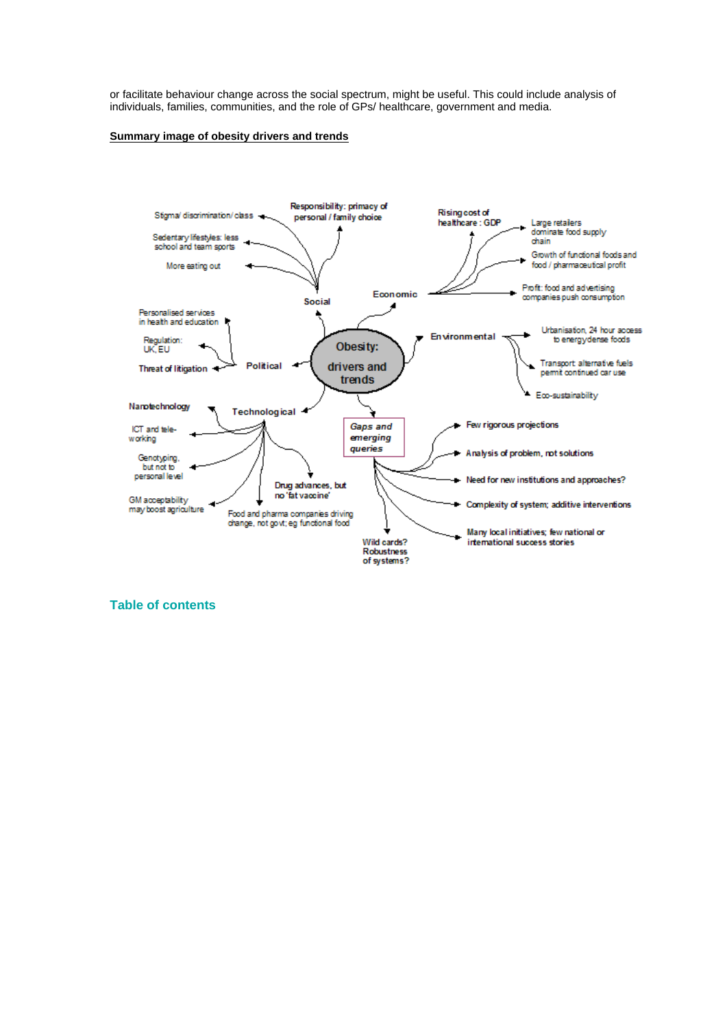or facilitate behaviour change across the social spectrum, might be useful. This could include analysis of individuals, families, communities, and the role of GPs/ healthcare, government and media.

#### **Summary image of obesity drivers and trends**



**Table of contents**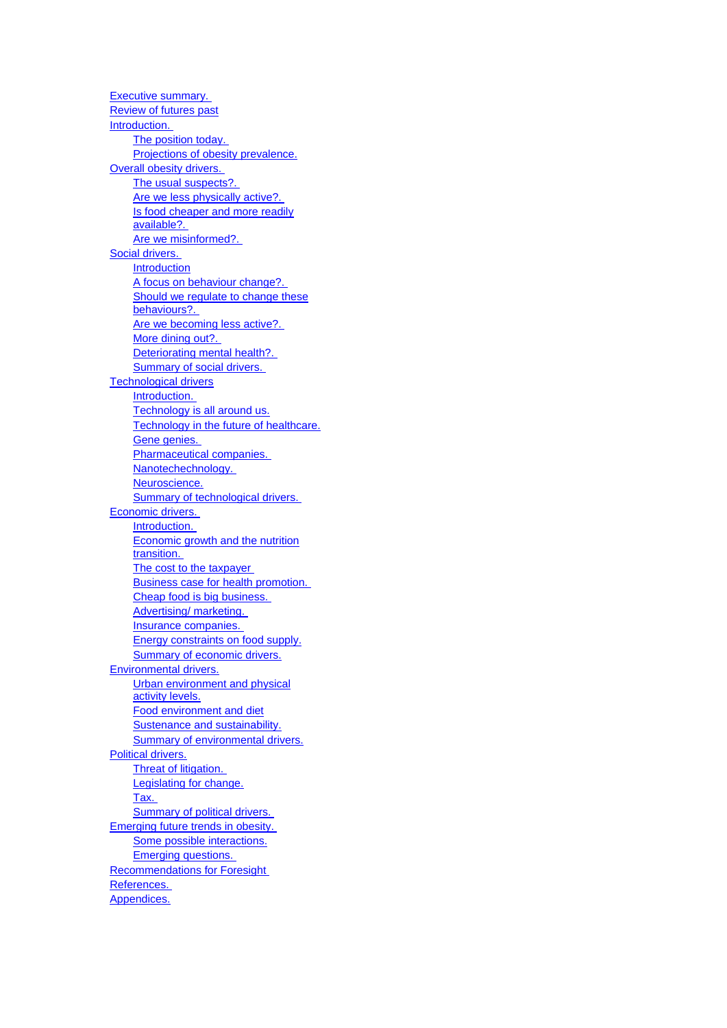Executive summary. Review of futures past Introduction. The position today. Projections of obesity prevalence. Overall obesity drivers. The usual suspects?. Are we less physically active?. Is food cheaper and more readily available?. Are we misinformed?. Social drivers. Introduction A focus on behaviour change?. Should we regulate to change these behaviours?. Are we becoming less active?. More dining out?. Deteriorating mental health?. Summary of social drivers. Technological drivers Introduction. Technology is all around us. Technology in the future of healthcare. Gene genies. Pharmaceutical companies. Nanotechechnology. Neuroscience. Summary of technological drivers. Economic drivers. Introduction. Economic growth and the nutrition transition. The cost to the taxpayer Business case for health promotion. Cheap food is big business. Advertising/ marketing. Insurance companies. Energy constraints on food supply. Summary of economic drivers. Environmental drivers. Urban environment and physical activity levels. Food environment and diet Sustenance and sustainability. Summary of environmental drivers. Political drivers. Threat of litigation. Legislating for change. Tax. Summary of political drivers. Emerging future trends in obesity. Some possible interactions. Emerging questions. Recommendations for Foresight References. Appendices.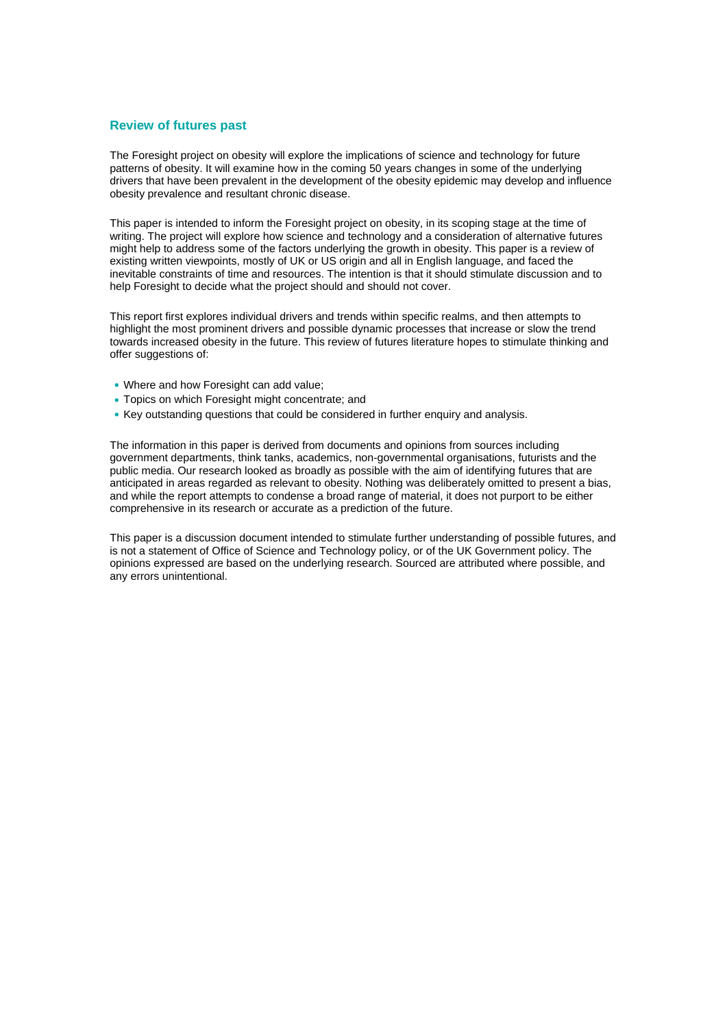#### **Review of futures past**

The Foresight project on obesity will explore the implications of science and technology for future patterns of obesity. It will examine how in the coming 50 years changes in some of the underlying drivers that have been prevalent in the development of the obesity epidemic may develop and influence obesity prevalence and resultant chronic disease.

This paper is intended to inform the Foresight project on obesity, in its scoping stage at the time of writing. The project will explore how science and technology and a consideration of alternative futures might help to address some of the factors underlying the growth in obesity. This paper is a review of existing written viewpoints, mostly of UK or US origin and all in English language, and faced the inevitable constraints of time and resources. The intention is that it should stimulate discussion and to help Foresight to decide what the project should and should not cover.

This report first explores individual drivers and trends within specific realms, and then attempts to highlight the most prominent drivers and possible dynamic processes that increase or slow the trend towards increased obesity in the future. This review of futures literature hopes to stimulate thinking and offer suggestions of:

- **•** Where and how Foresight can add value;
- **•** Topics on which Foresight might concentrate; and
- **•** Key outstanding questions that could be considered in further enquiry and analysis.

The information in this paper is derived from documents and opinions from sources including government departments, think tanks, academics, non-governmental organisations, futurists and the public media. Our research looked as broadly as possible with the aim of identifying futures that are anticipated in areas regarded as relevant to obesity. Nothing was deliberately omitted to present a bias, and while the report attempts to condense a broad range of material, it does not purport to be either comprehensive in its research or accurate as a prediction of the future.

This paper is a discussion document intended to stimulate further understanding of possible futures, and is not a statement of Office of Science and Technology policy, or of the UK Government policy. The opinions expressed are based on the underlying research. Sourced are attributed where possible, and any errors unintentional.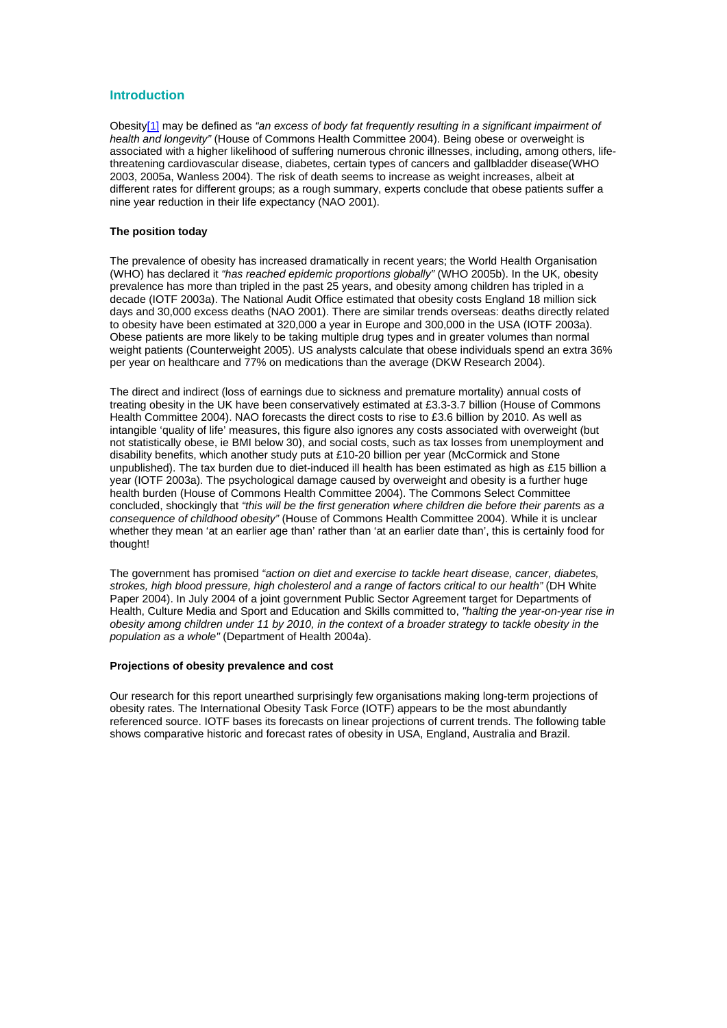#### **Introduction**

Obesit[y\[1\]](http://www.foresight.gov.uk/Obesity/Reports/Literature_Review/#_ftn1) may be defined as *"an excess of body fat frequently resulting in a significant impairment of health and longevity"* (House of Commons Health Committee 2004). Being obese or overweight is associated with a higher likelihood of suffering numerous chronic illnesses, including, among others, lifethreatening cardiovascular disease, diabetes, certain types of cancers and gallbladder disease(WHO 2003, 2005a, Wanless 2004). The risk of death seems to increase as weight increases, albeit at different rates for different groups; as a rough summary, experts conclude that obese patients suffer a nine year reduction in their life expectancy (NAO 2001).

#### **The position today**

The prevalence of obesity has increased dramatically in recent years; the World Health Organisation (WHO) has declared it *"has reached epidemic proportions globally"* (WHO 2005b). In the UK, obesity prevalence has more than tripled in the past 25 years, and obesity among children has tripled in a decade (IOTF 2003a). The National Audit Office estimated that obesity costs England 18 million sick days and 30,000 excess deaths (NAO 2001). There are similar trends overseas: deaths directly related to obesity have been estimated at 320,000 a year in Europe and 300,000 in the USA (IOTF 2003a). Obese patients are more likely to be taking multiple drug types and in greater volumes than normal weight patients (Counterweight 2005). US analysts calculate that obese individuals spend an extra 36% per year on healthcare and 77% on medications than the average (DKW Research 2004).

The direct and indirect (loss of earnings due to sickness and premature mortality) annual costs of treating obesity in the UK have been conservatively estimated at £3.3-3.7 billion (House of Commons Health Committee 2004). NAO forecasts the direct costs to rise to £3.6 billion by 2010. As well as intangible 'quality of life' measures, this figure also ignores any costs associated with overweight (but not statistically obese, ie BMI below 30), and social costs, such as tax losses from unemployment and disability benefits, which another study puts at £10-20 billion per year (McCormick and Stone unpublished). The tax burden due to diet-induced ill health has been estimated as high as £15 billion a year (IOTF 2003a). The psychological damage caused by overweight and obesity is a further huge health burden (House of Commons Health Committee 2004). The Commons Select Committee concluded, shockingly that *"this will be the first generation where children die before their parents as a consequence of childhood obesity"* (House of Commons Health Committee 2004). While it is unclear whether they mean 'at an earlier age than' rather than 'at an earlier date than', this is certainly food for thought!

The government has promised *"action on diet and exercise to tackle heart disease, cancer, diabetes, strokes, high blood pressure, high cholesterol and a range of factors critical to our health"* (DH White Paper 2004). In July 2004 of a joint government Public Sector Agreement target for Departments of Health, Culture Media and Sport and Education and Skills committed to, *"halting the year-on-year rise in obesity among children under 11 by 2010, in the context of a broader strategy to tackle obesity in the population as a whole"* (Department of Health 2004a).

#### **Projections of obesity prevalence and cost**

Our research for this report unearthed surprisingly few organisations making long-term projections of obesity rates. The International Obesity Task Force (IOTF) appears to be the most abundantly referenced source. IOTF bases its forecasts on linear projections of current trends. The following table shows comparative historic and forecast rates of obesity in USA, England, Australia and Brazil.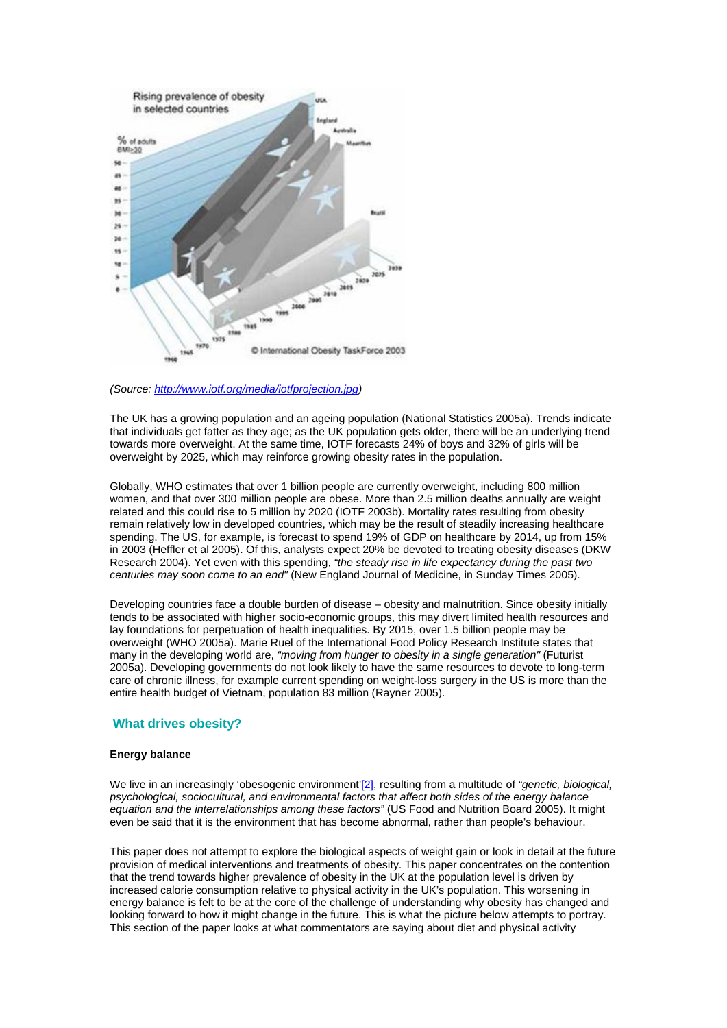

*(Source: [http://www.iotf.org/media/iotfprojection.jpg\)](http://www.iotf.org/media/iotfprojection.jpg)*

The UK has a growing population and an ageing population (National Statistics 2005a). Trends indicate that individuals get fatter as they age; as the UK population gets older, there will be an underlying trend towards more overweight. At the same time, IOTF forecasts 24% of boys and 32% of girls will be overweight by 2025, which may reinforce growing obesity rates in the population.

Globally, WHO estimates that over 1 billion people are currently overweight, including 800 million women, and that over 300 million people are obese. More than 2.5 million deaths annually are weight related and this could rise to 5 million by 2020 (IOTF 2003b). Mortality rates resulting from obesity remain relatively low in developed countries, which may be the result of steadily increasing healthcare spending. The US, for example, is forecast to spend 19% of GDP on healthcare by 2014, up from 15% in 2003 (Heffler et al 2005). Of this, analysts expect 20% be devoted to treating obesity diseases (DKW Research 2004). Yet even with this spending, *"the steady rise in life expectancy during the past two centuries may soon come to an end"* (New England Journal of Medicine, in Sunday Times 2005).

Developing countries face a double burden of disease – obesity and malnutrition. Since obesity initially tends to be associated with higher socio-economic groups, this may divert limited health resources and lay foundations for perpetuation of health inequalities. By 2015, over 1.5 billion people may be overweight (WHO 2005a). Marie Ruel of the International Food Policy Research Institute states that many in the developing world are, *"moving from hunger to obesity in a single generation"* (Futurist 2005a). Developing governments do not look likely to have the same resources to devote to long-term care of chronic illness, for example current spending on weight-loss surgery in the US is more than the entire health budget of Vietnam, population 83 million (Rayner 2005).

#### **What drives obesity?**

#### **Energy balance**

We live in an increasingly 'obesogenic environment['\[2\]](http://www.foresight.gov.uk/Obesity/Reports/Literature_Review/#_ftn2), resulting from a multitude of "*genetic, biological*, *psychological, sociocultural, and environmental factors that affect both sides of the energy balance equation and the interrelationships among these factors"* (US Food and Nutrition Board 2005). It might even be said that it is the environment that has become abnormal, rather than people's behaviour.

This paper does not attempt to explore the biological aspects of weight gain or look in detail at the future provision of medical interventions and treatments of obesity. This paper concentrates on the contention that the trend towards higher prevalence of obesity in the UK at the population level is driven by increased calorie consumption relative to physical activity in the UK's population. This worsening in energy balance is felt to be at the core of the challenge of understanding why obesity has changed and looking forward to how it might change in the future. This is what the picture below attempts to portray. This section of the paper looks at what commentators are saying about diet and physical activity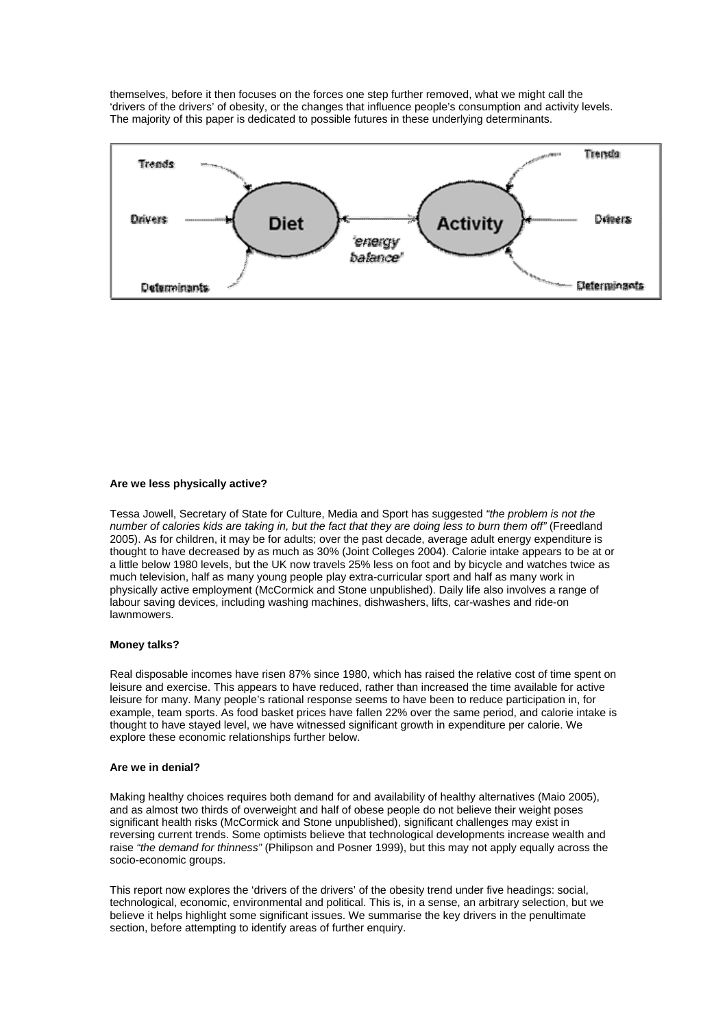themselves, before it then focuses on the forces one step further removed, what we might call the 'drivers of the drivers' of obesity, or the changes that influence people's consumption and activity levels. The majority of this paper is dedicated to possible futures in these underlying determinants.



#### **Are we less physically active?**

Tessa Jowell, Secretary of State for Culture, Media and Sport has suggested *"the problem is not the number of calories kids are taking in, but the fact that they are doing less to burn them off"* (Freedland 2005). As for children, it may be for adults; over the past decade, average adult energy expenditure is thought to have decreased by as much as 30% (Joint Colleges 2004). Calorie intake appears to be at or a little below 1980 levels, but the UK now travels 25% less on foot and by bicycle and watches twice as much television, half as many young people play extra-curricular sport and half as many work in physically active employment (McCormick and Stone unpublished). Daily life also involves a range of labour saving devices, including washing machines, dishwashers, lifts, car-washes and ride-on lawnmowers.

#### **Money talks?**

Real disposable incomes have risen 87% since 1980, which has raised the relative cost of time spent on leisure and exercise. This appears to have reduced, rather than increased the time available for active leisure for many. Many people's rational response seems to have been to reduce participation in, for example, team sports. As food basket prices have fallen 22% over the same period, and calorie intake is thought to have stayed level, we have witnessed significant growth in expenditure per calorie. We explore these economic relationships further below.

#### **Are we in denial?**

Making healthy choices requires both demand for and availability of healthy alternatives (Maio 2005), and as almost two thirds of overweight and half of obese people do not believe their weight poses significant health risks (McCormick and Stone unpublished), significant challenges may exist in reversing current trends. Some optimists believe that technological developments increase wealth and raise *"the demand for thinness"* (Philipson and Posner 1999), but this may not apply equally across the socio-economic groups.

This report now explores the 'drivers of the drivers' of the obesity trend under five headings: social, technological, economic, environmental and political. This is, in a sense, an arbitrary selection, but we believe it helps highlight some significant issues. We summarise the key drivers in the penultimate section, before attempting to identify areas of further enquiry.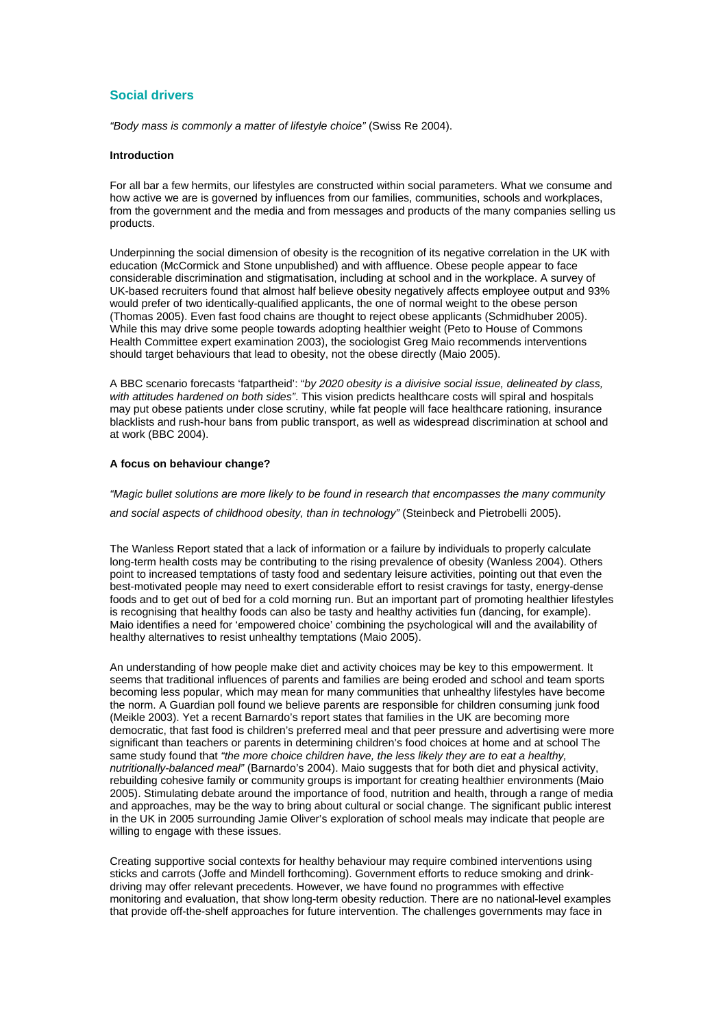#### **Social drivers**

*"Body mass is commonly a matter of lifestyle choice"* (Swiss Re 2004).

#### **Introduction**

For all bar a few hermits, our lifestyles are constructed within social parameters. What we consume and how active we are is governed by influences from our families, communities, schools and workplaces, from the government and the media and from messages and products of the many companies selling us products.

Underpinning the social dimension of obesity is the recognition of its negative correlation in the UK with education (McCormick and Stone unpublished) and with affluence. Obese people appear to face considerable discrimination and stigmatisation, including at school and in the workplace. A survey of UK-based recruiters found that almost half believe obesity negatively affects employee output and 93% would prefer of two identically-qualified applicants, the one of normal weight to the obese person (Thomas 2005). Even fast food chains are thought to reject obese applicants (Schmidhuber 2005). While this may drive some people towards adopting healthier weight (Peto to House of Commons Health Committee expert examination 2003), the sociologist Greg Maio recommends interventions should target behaviours that lead to obesity, not the obese directly (Maio 2005).

A BBC scenario forecasts 'fatpartheid': "*by 2020 obesity is a divisive social issue, delineated by class, with attitudes hardened on both sides"*. This vision predicts healthcare costs will spiral and hospitals may put obese patients under close scrutiny, while fat people will face healthcare rationing, insurance blacklists and rush-hour bans from public transport, as well as widespread discrimination at school and at work (BBC 2004).

#### **A focus on behaviour change?**

*"Magic bullet solutions are more likely to be found in research that encompasses the many community and social aspects of childhood obesity, than in technology"* (Steinbeck and Pietrobelli 2005).

The Wanless Report stated that a lack of information or a failure by individuals to properly calculate long-term health costs may be contributing to the rising prevalence of obesity (Wanless 2004). Others point to increased temptations of tasty food and sedentary leisure activities, pointing out that even the best-motivated people may need to exert considerable effort to resist cravings for tasty, energy-dense foods and to get out of bed for a cold morning run. But an important part of promoting healthier lifestyles is recognising that healthy foods can also be tasty and healthy activities fun (dancing, for example). Maio identifies a need for 'empowered choice' combining the psychological will and the availability of healthy alternatives to resist unhealthy temptations (Maio 2005).

An understanding of how people make diet and activity choices may be key to this empowerment. It seems that traditional influences of parents and families are being eroded and school and team sports becoming less popular, which may mean for many communities that unhealthy lifestyles have become the norm. A Guardian poll found we believe parents are responsible for children consuming junk food (Meikle 2003). Yet a recent Barnardo's report states that families in the UK are becoming more democratic, that fast food is children's preferred meal and that peer pressure and advertising were more significant than teachers or parents in determining children's food choices at home and at school The same study found that *"the more choice children have, the less likely they are to eat a healthy, nutritionally-balanced meal"* (Barnardo's 2004). Maio suggests that for both diet and physical activity, rebuilding cohesive family or community groups is important for creating healthier environments (Maio 2005). Stimulating debate around the importance of food, nutrition and health, through a range of media and approaches, may be the way to bring about cultural or social change. The significant public interest in the UK in 2005 surrounding Jamie Oliver's exploration of school meals may indicate that people are willing to engage with these issues.

Creating supportive social contexts for healthy behaviour may require combined interventions using sticks and carrots (Joffe and Mindell forthcoming). Government efforts to reduce smoking and drinkdriving may offer relevant precedents. However, we have found no programmes with effective monitoring and evaluation, that show long-term obesity reduction. There are no national-level examples that provide off-the-shelf approaches for future intervention. The challenges governments may face in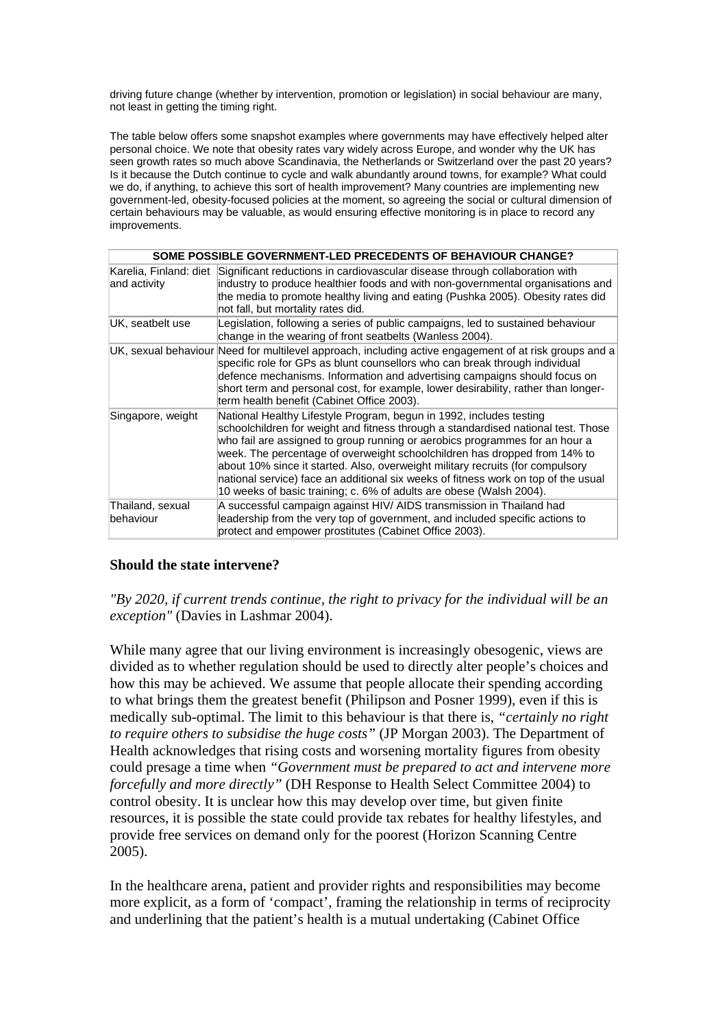driving future change (whether by intervention, promotion or legislation) in social behaviour are many, not least in getting the timing right.

The table below offers some snapshot examples where governments may have effectively helped alter personal choice. We note that obesity rates vary widely across Europe, and wonder why the UK has seen growth rates so much above Scandinavia, the Netherlands or Switzerland over the past 20 years? Is it because the Dutch continue to cycle and walk abundantly around towns, for example? What could we do, if anything, to achieve this sort of health improvement? Many countries are implementing new government-led, obesity-focused policies at the moment, so agreeing the social or cultural dimension of certain behaviours may be valuable, as would ensuring effective monitoring is in place to record any improvements.

| SOME POSSIBLE GOVERNMENT-LED PRECEDENTS OF BEHAVIOUR CHANGE? |                                                                                                                                                                                                                                                                                                                                                                                                                                                                                                                                                                     |  |
|--------------------------------------------------------------|---------------------------------------------------------------------------------------------------------------------------------------------------------------------------------------------------------------------------------------------------------------------------------------------------------------------------------------------------------------------------------------------------------------------------------------------------------------------------------------------------------------------------------------------------------------------|--|
| and activity                                                 | Karelia, Finland: diet Significant reductions in cardiovascular disease through collaboration with<br>industry to produce healthier foods and with non-governmental organisations and<br>the media to promote healthy living and eating (Pushka 2005). Obesity rates did<br>not fall, but mortality rates did.                                                                                                                                                                                                                                                      |  |
| UK, seatbelt use                                             | Legislation, following a series of public campaigns, led to sustained behaviour<br>change in the wearing of front seatbelts (Wanless 2004).                                                                                                                                                                                                                                                                                                                                                                                                                         |  |
|                                                              | UK, sexual behaviour Need for multilevel approach, including active engagement of at risk groups and a<br>specific role for GPs as blunt counsellors who can break through individual<br>defence mechanisms. Information and advertising campaigns should focus on<br>short term and personal cost, for example, lower desirability, rather than longer-<br>term health benefit (Cabinet Office 2003).                                                                                                                                                              |  |
| Singapore, weight                                            | National Healthy Lifestyle Program, begun in 1992, includes testing<br>schoolchildren for weight and fitness through a standardised national test. Those<br>who fail are assigned to group running or aerobics programmes for an hour a<br>week. The percentage of overweight schoolchildren has dropped from 14% to<br>about 10% since it started. Also, overweight military recruits (for compulsory<br>national service) face an additional six weeks of fitness work on top of the usual<br>10 weeks of basic training; c. 6% of adults are obese (Walsh 2004). |  |
| Thailand, sexual<br>behaviour                                | A successful campaign against HIV/ AIDS transmission in Thailand had<br>leadership from the very top of government, and included specific actions to<br>protect and empower prostitutes (Cabinet Office 2003).                                                                                                                                                                                                                                                                                                                                                      |  |

#### **Should the state intervene?**

*"By 2020, if current trends continue, the right to privacy for the individual will be an exception"* (Davies in Lashmar 2004).

While many agree that our living environment is increasingly obesogenic, views are divided as to whether regulation should be used to directly alter people's choices and how this may be achieved. We assume that people allocate their spending according to what brings them the greatest benefit (Philipson and Posner 1999), even if this is medically sub-optimal. The limit to this behaviour is that there is, *"certainly no right to require others to subsidise the huge costs"* (JP Morgan 2003). The Department of Health acknowledges that rising costs and worsening mortality figures from obesity could presage a time when *"Government must be prepared to act and intervene more forcefully and more directly"* (DH Response to Health Select Committee 2004) to control obesity. It is unclear how this may develop over time, but given finite resources, it is possible the state could provide tax rebates for healthy lifestyles, and provide free services on demand only for the poorest (Horizon Scanning Centre 2005).

In the healthcare arena, patient and provider rights and responsibilities may become more explicit, as a form of 'compact', framing the relationship in terms of reciprocity and underlining that the patient's health is a mutual undertaking (Cabinet Office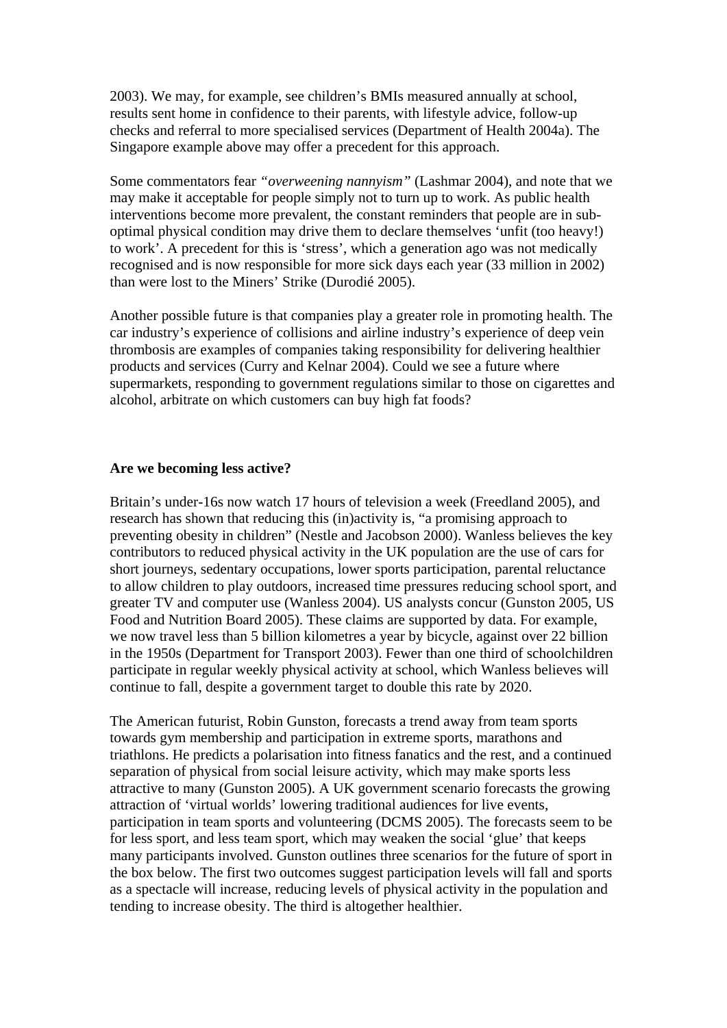2003). We may, for example, see children's BMIs measured annually at school, results sent home in confidence to their parents, with lifestyle advice, follow-up checks and referral to more specialised services (Department of Health 2004a). The Singapore example above may offer a precedent for this approach.

Some commentators fear *"overweening nannyism"* (Lashmar 2004), and note that we may make it acceptable for people simply not to turn up to work. As public health interventions become more prevalent, the constant reminders that people are in suboptimal physical condition may drive them to declare themselves 'unfit (too heavy!) to work'. A precedent for this is 'stress', which a generation ago was not medically recognised and is now responsible for more sick days each year (33 million in 2002) than were lost to the Miners' Strike (Durodié 2005).

Another possible future is that companies play a greater role in promoting health. The car industry's experience of collisions and airline industry's experience of deep vein thrombosis are examples of companies taking responsibility for delivering healthier products and services (Curry and Kelnar 2004). Could we see a future where supermarkets, responding to government regulations similar to those on cigarettes and alcohol, arbitrate on which customers can buy high fat foods?

#### **Are we becoming less active?**

Britain's under-16s now watch 17 hours of television a week (Freedland 2005), and research has shown that reducing this (in)activity is, "a promising approach to preventing obesity in children" (Nestle and Jacobson 2000). Wanless believes the key contributors to reduced physical activity in the UK population are the use of cars for short journeys, sedentary occupations, lower sports participation, parental reluctance to allow children to play outdoors, increased time pressures reducing school sport, and greater TV and computer use (Wanless 2004). US analysts concur (Gunston 2005, US Food and Nutrition Board 2005). These claims are supported by data. For example, we now travel less than 5 billion kilometres a year by bicycle, against over 22 billion in the 1950s (Department for Transport 2003). Fewer than one third of schoolchildren participate in regular weekly physical activity at school, which Wanless believes will continue to fall, despite a government target to double this rate by 2020.

The American futurist, Robin Gunston, forecasts a trend away from team sports towards gym membership and participation in extreme sports, marathons and triathlons. He predicts a polarisation into fitness fanatics and the rest, and a continued separation of physical from social leisure activity, which may make sports less attractive to many (Gunston 2005). A UK government scenario forecasts the growing attraction of 'virtual worlds' lowering traditional audiences for live events, participation in team sports and volunteering (DCMS 2005). The forecasts seem to be for less sport, and less team sport, which may weaken the social 'glue' that keeps many participants involved. Gunston outlines three scenarios for the future of sport in the box below. The first two outcomes suggest participation levels will fall and sports as a spectacle will increase, reducing levels of physical activity in the population and tending to increase obesity. The third is altogether healthier.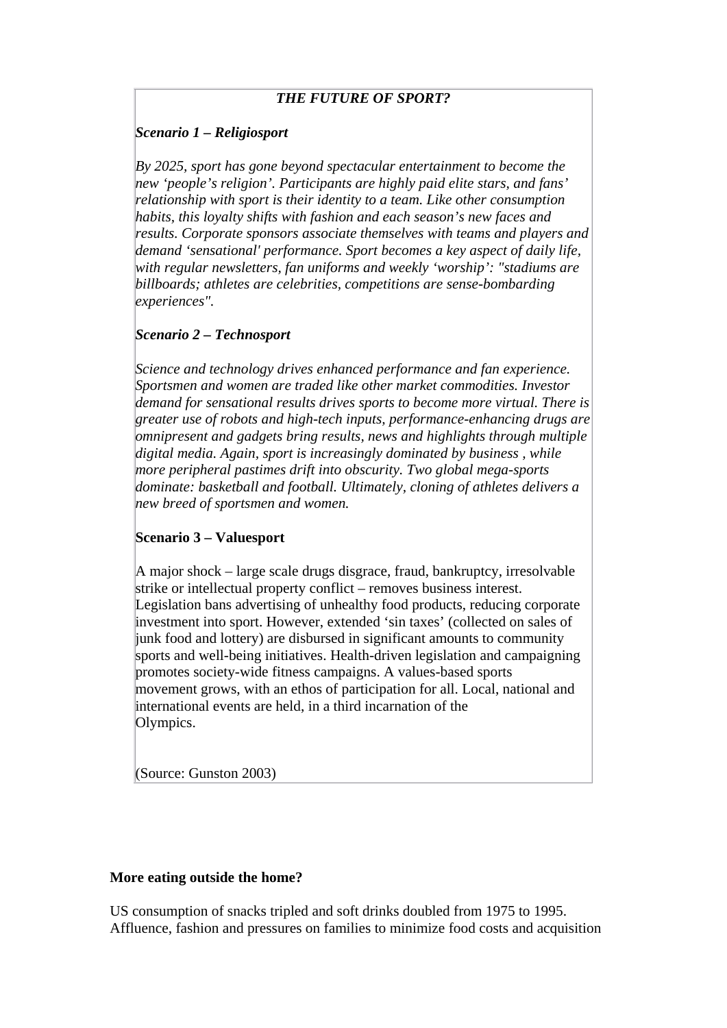# *THE FUTURE OF SPORT?*

# *Scenario 1 – Religiosport*

*By 2025, sport has gone beyond spectacular entertainment to become the new 'people's religion'. Participants are highly paid elite stars, and fans' relationship with sport is their identity to a team. Like other consumption habits, this loyalty shifts with fashion and each season's new faces and results. Corporate sponsors associate themselves with teams and players and demand 'sensational' performance. Sport becomes a key aspect of daily life, with regular newsletters, fan uniforms and weekly 'worship': "stadiums are billboards; athletes are celebrities, competitions are sense-bombarding experiences".*

# *Scenario 2 – Technosport*

*Science and technology drives enhanced performance and fan experience. Sportsmen and women are traded like other market commodities. Investor demand for sensational results drives sports to become more virtual. There is greater use of robots and high-tech inputs, performance-enhancing drugs are omnipresent and gadgets bring results, news and highlights through multiple digital media. Again, sport is increasingly dominated by business , while more peripheral pastimes drift into obscurity. Two global mega-sports dominate: basketball and football. Ultimately, cloning of athletes delivers a new breed of sportsmen and women.*

# **Scenario 3 – Valuesport**

A major shock – large scale drugs disgrace, fraud, bankruptcy, irresolvable strike or intellectual property conflict – removes business interest. Legislation bans advertising of unhealthy food products, reducing corporate investment into sport. However, extended 'sin taxes' (collected on sales of junk food and lottery) are disbursed in significant amounts to community sports and well-being initiatives. Health-driven legislation and campaigning promotes society-wide fitness campaigns. A values-based sports movement grows, with an ethos of participation for all. Local, national and international events are held, in a third incarnation of the Olympics.

(Source: Gunston 2003)

# **More eating outside the home?**

US consumption of snacks tripled and soft drinks doubled from 1975 to 1995. Affluence, fashion and pressures on families to minimize food costs and acquisition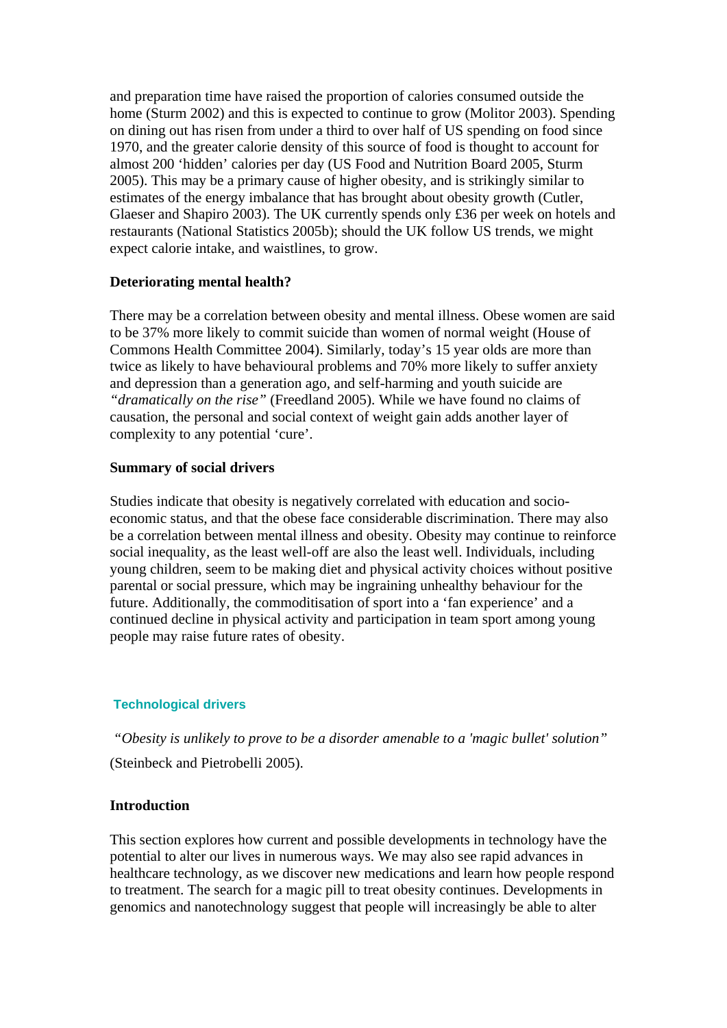and preparation time have raised the proportion of calories consumed outside the home (Sturm 2002) and this is expected to continue to grow (Molitor 2003). Spending on dining out has risen from under a third to over half of US spending on food since 1970, and the greater calorie density of this source of food is thought to account for almost 200 'hidden' calories per day (US Food and Nutrition Board 2005, Sturm 2005). This may be a primary cause of higher obesity, and is strikingly similar to estimates of the energy imbalance that has brought about obesity growth (Cutler, Glaeser and Shapiro 2003). The UK currently spends only £36 per week on hotels and restaurants (National Statistics 2005b); should the UK follow US trends, we might expect calorie intake, and waistlines, to grow.

# **Deteriorating mental health?**

There may be a correlation between obesity and mental illness. Obese women are said to be 37% more likely to commit suicide than women of normal weight (House of Commons Health Committee 2004). Similarly, today's 15 year olds are more than twice as likely to have behavioural problems and 70% more likely to suffer anxiety and depression than a generation ago, and self-harming and youth suicide are *"dramatically on the rise"* (Freedland 2005). While we have found no claims of causation, the personal and social context of weight gain adds another layer of complexity to any potential 'cure'.

# **Summary of social drivers**

Studies indicate that obesity is negatively correlated with education and socioeconomic status, and that the obese face considerable discrimination. There may also be a correlation between mental illness and obesity. Obesity may continue to reinforce social inequality, as the least well-off are also the least well. Individuals, including young children, seem to be making diet and physical activity choices without positive parental or social pressure, which may be ingraining unhealthy behaviour for the future. Additionally, the commoditisation of sport into a 'fan experience' and a continued decline in physical activity and participation in team sport among young people may raise future rates of obesity.

# **Technological drivers**

 *"Obesity is unlikely to prove to be a disorder amenable to a 'magic bullet' solution"* (Steinbeck and Pietrobelli 2005).

# **Introduction**

This section explores how current and possible developments in technology have the potential to alter our lives in numerous ways. We may also see rapid advances in healthcare technology, as we discover new medications and learn how people respond to treatment. The search for a magic pill to treat obesity continues. Developments in genomics and nanotechnology suggest that people will increasingly be able to alter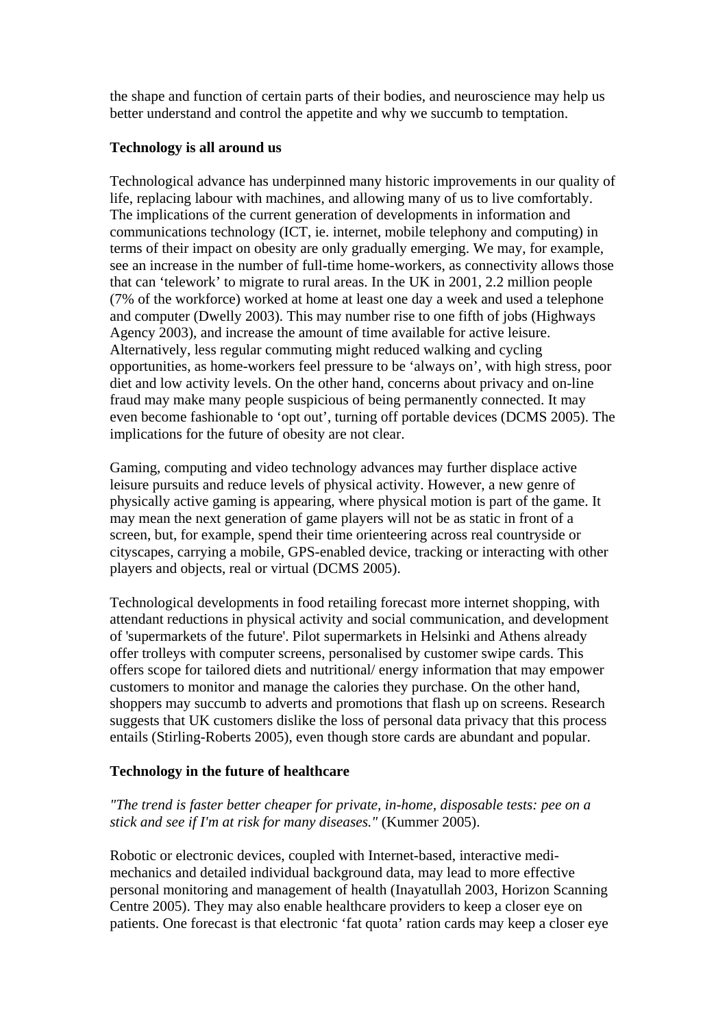the shape and function of certain parts of their bodies, and neuroscience may help us better understand and control the appetite and why we succumb to temptation.

# **Technology is all around us**

Technological advance has underpinned many historic improvements in our quality of life, replacing labour with machines, and allowing many of us to live comfortably. The implications of the current generation of developments in information and communications technology (ICT, ie. internet, mobile telephony and computing) in terms of their impact on obesity are only gradually emerging. We may, for example, see an increase in the number of full-time home-workers, as connectivity allows those that can 'telework' to migrate to rural areas. In the UK in 2001, 2.2 million people (7% of the workforce) worked at home at least one day a week and used a telephone and computer (Dwelly 2003). This may number rise to one fifth of jobs (Highways Agency 2003), and increase the amount of time available for active leisure. Alternatively, less regular commuting might reduced walking and cycling opportunities, as home-workers feel pressure to be 'always on', with high stress, poor diet and low activity levels. On the other hand, concerns about privacy and on-line fraud may make many people suspicious of being permanently connected. It may even become fashionable to 'opt out', turning off portable devices (DCMS 2005). The implications for the future of obesity are not clear.

Gaming, computing and video technology advances may further displace active leisure pursuits and reduce levels of physical activity. However, a new genre of physically active gaming is appearing, where physical motion is part of the game. It may mean the next generation of game players will not be as static in front of a screen, but, for example, spend their time orienteering across real countryside or cityscapes, carrying a mobile, GPS-enabled device, tracking or interacting with other players and objects, real or virtual (DCMS 2005).

Technological developments in food retailing forecast more internet shopping, with attendant reductions in physical activity and social communication, and development of 'supermarkets of the future'. Pilot supermarkets in Helsinki and Athens already offer trolleys with computer screens, personalised by customer swipe cards. This offers scope for tailored diets and nutritional/ energy information that may empower customers to monitor and manage the calories they purchase. On the other hand, shoppers may succumb to adverts and promotions that flash up on screens. Research suggests that UK customers dislike the loss of personal data privacy that this process entails (Stirling-Roberts 2005), even though store cards are abundant and popular.

# **Technology in the future of healthcare**

# *"The trend is faster better cheaper for private, in-home, disposable tests: pee on a stick and see if I'm at risk for many diseases."* (Kummer 2005).

Robotic or electronic devices, coupled with Internet-based, interactive medimechanics and detailed individual background data, may lead to more effective personal monitoring and management of health (Inayatullah 2003, Horizon Scanning Centre 2005). They may also enable healthcare providers to keep a closer eye on patients. One forecast is that electronic 'fat quota' ration cards may keep a closer eye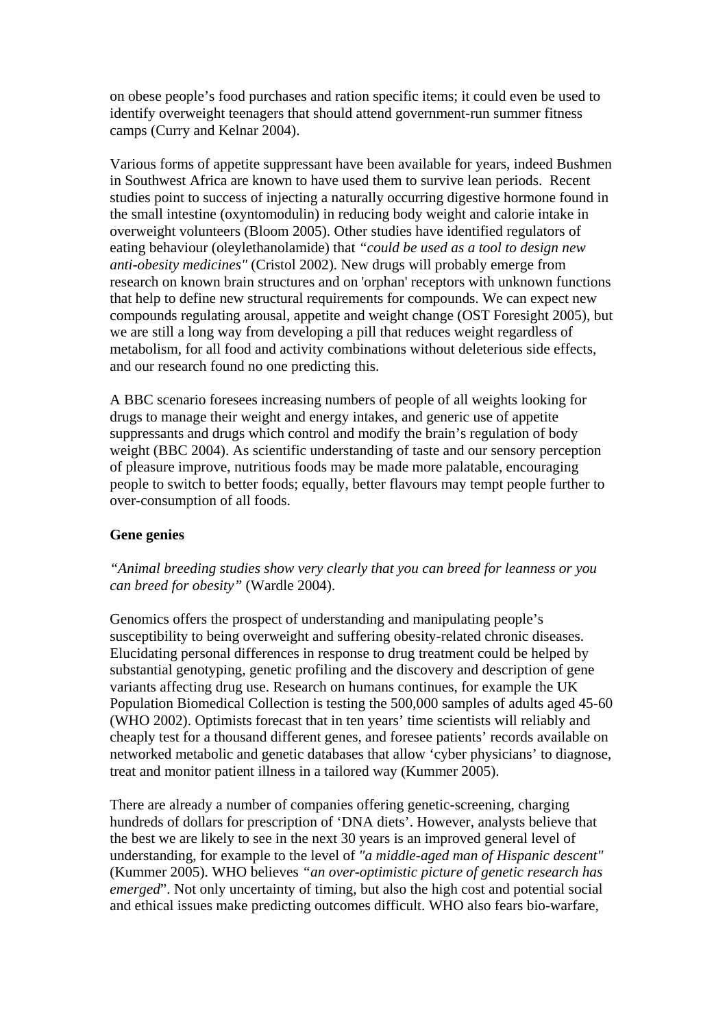on obese people's food purchases and ration specific items; it could even be used to identify overweight teenagers that should attend government-run summer fitness camps (Curry and Kelnar 2004).

Various forms of appetite suppressant have been available for years, indeed Bushmen in Southwest Africa are known to have used them to survive lean periods. Recent studies point to success of injecting a naturally occurring digestive hormone found in the small intestine (oxyntomodulin) in reducing body weight and calorie intake in overweight volunteers (Bloom 2005). Other studies have identified regulators of eating behaviour (oleylethanolamide) that *"could be used as a tool to design new anti-obesity medicines"* (Cristol 2002). New drugs will probably emerge from research on known brain structures and on 'orphan' receptors with unknown functions that help to define new structural requirements for compounds. We can expect new compounds regulating arousal, appetite and weight change (OST Foresight 2005), but we are still a long way from developing a pill that reduces weight regardless of metabolism, for all food and activity combinations without deleterious side effects, and our research found no one predicting this.

A BBC scenario foresees increasing numbers of people of all weights looking for drugs to manage their weight and energy intakes, and generic use of appetite suppressants and drugs which control and modify the brain's regulation of body weight (BBC 2004). As scientific understanding of taste and our sensory perception of pleasure improve, nutritious foods may be made more palatable, encouraging people to switch to better foods; equally, better flavours may tempt people further to over-consumption of all foods.

#### **Gene genies**

*"Animal breeding studies show very clearly that you can breed for leanness or you can breed for obesity"* (Wardle 2004).

Genomics offers the prospect of understanding and manipulating people's susceptibility to being overweight and suffering obesity-related chronic diseases. Elucidating personal differences in response to drug treatment could be helped by substantial genotyping, genetic profiling and the discovery and description of gene variants affecting drug use. Research on humans continues, for example the UK Population Biomedical Collection is testing the 500,000 samples of adults aged 45-60 (WHO 2002). Optimists forecast that in ten years' time scientists will reliably and cheaply test for a thousand different genes, and foresee patients' records available on networked metabolic and genetic databases that allow 'cyber physicians' to diagnose, treat and monitor patient illness in a tailored way (Kummer 2005).

There are already a number of companies offering genetic-screening, charging hundreds of dollars for prescription of 'DNA diets'. However, analysts believe that the best we are likely to see in the next 30 years is an improved general level of understanding, for example to the level of *"a middle-aged man of Hispanic descent"* (Kummer 2005). WHO believes *"an over-optimistic picture of genetic research has emerged*". Not only uncertainty of timing, but also the high cost and potential social and ethical issues make predicting outcomes difficult. WHO also fears bio-warfare,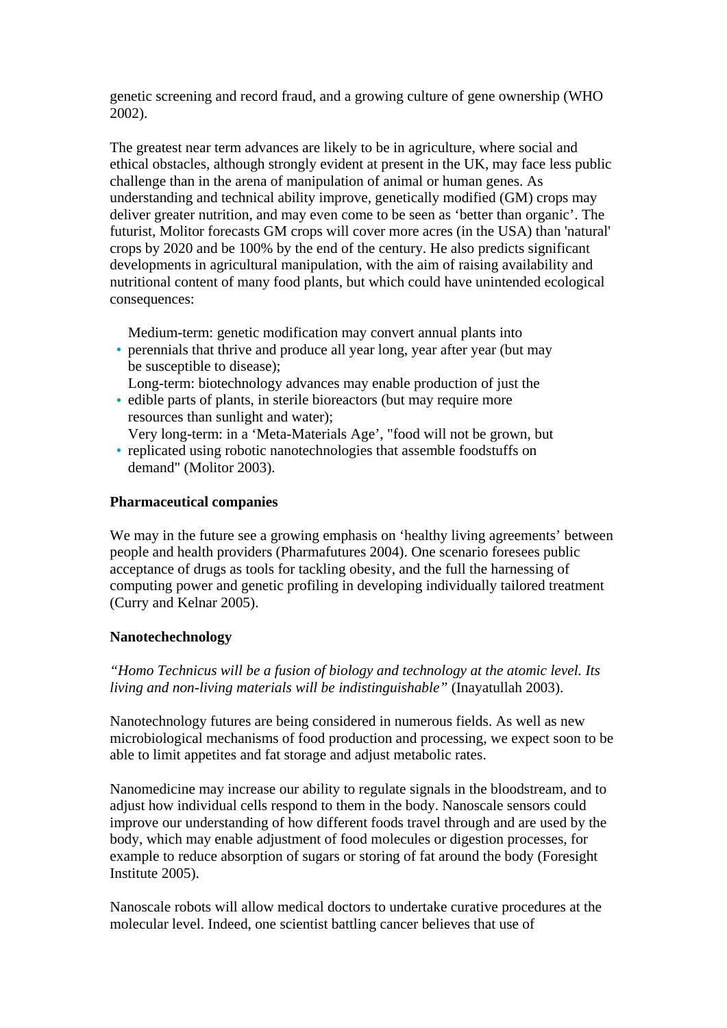genetic screening and record fraud, and a growing culture of gene ownership (WHO 2002).

The greatest near term advances are likely to be in agriculture, where social and ethical obstacles, although strongly evident at present in the UK, may face less public challenge than in the arena of manipulation of animal or human genes. As understanding and technical ability improve, genetically modified (GM) crops may deliver greater nutrition, and may even come to be seen as 'better than organic'. The futurist, Molitor forecasts GM crops will cover more acres (in the USA) than 'natural' crops by 2020 and be 100% by the end of the century. He also predicts significant developments in agricultural manipulation, with the aim of raising availability and nutritional content of many food plants, but which could have unintended ecological consequences:

Medium-term: genetic modification may convert annual plants into

- perennials that thrive and produce all year long, year after year (but may be susceptible to disease);
- edible parts of plants, in sterile bioreactors (but may require more Long-term: biotechnology advances may enable production of just the
- resources than sunlight and water); Very long-term: in a 'Meta-Materials Age', "food will not be grown, but
- **•** replicated using robotic nanotechnologies that assemble foodstuffs on demand" (Molitor 2003).

# **Pharmaceutical companies**

We may in the future see a growing emphasis on 'healthy living agreements' between people and health providers (Pharmafutures 2004). One scenario foresees public acceptance of drugs as tools for tackling obesity, and the full the harnessing of computing power and genetic profiling in developing individually tailored treatment (Curry and Kelnar 2005).

# **Nanotechechnology**

*"Homo Technicus will be a fusion of biology and technology at the atomic level. Its living and non-living materials will be indistinguishable"* (Inayatullah 2003).

Nanotechnology futures are being considered in numerous fields. As well as new microbiological mechanisms of food production and processing, we expect soon to be able to limit appetites and fat storage and adjust metabolic rates.

Nanomedicine may increase our ability to regulate signals in the bloodstream, and to adjust how individual cells respond to them in the body. Nanoscale sensors could improve our understanding of how different foods travel through and are used by the body, which may enable adjustment of food molecules or digestion processes, for example to reduce absorption of sugars or storing of fat around the body (Foresight Institute 2005).

Nanoscale robots will allow medical doctors to undertake curative procedures at the molecular level. Indeed, one scientist battling cancer believes that use of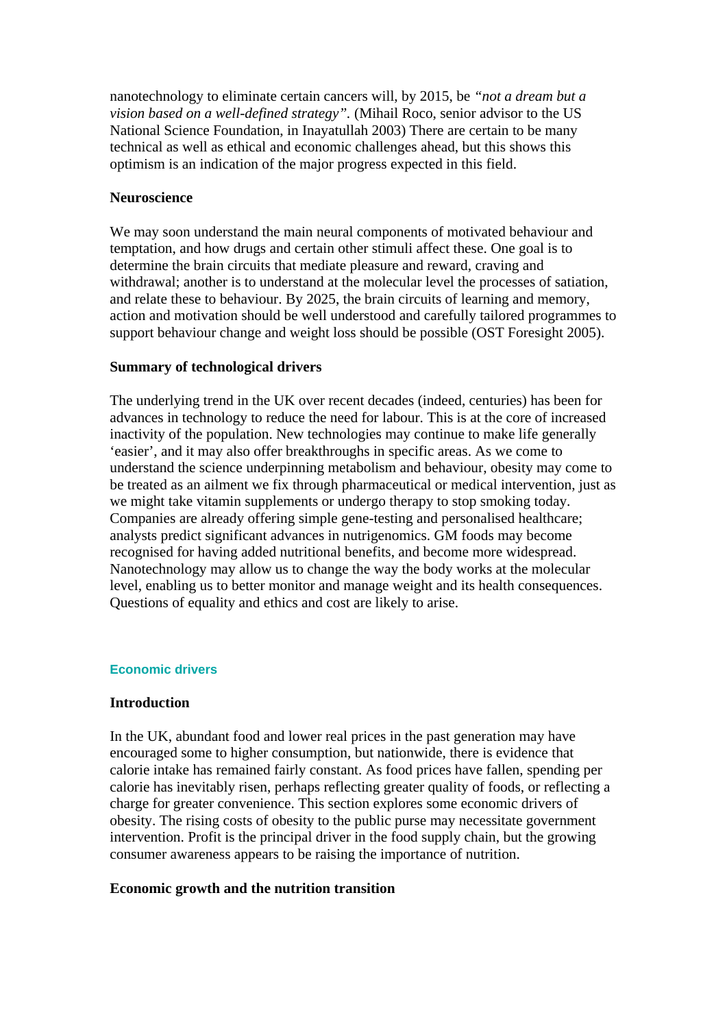nanotechnology to eliminate certain cancers will, by 2015, be *"not a dream but a vision based on a well-defined strategy".* (Mihail Roco, senior advisor to the US National Science Foundation, in Inayatullah 2003) There are certain to be many technical as well as ethical and economic challenges ahead, but this shows this optimism is an indication of the major progress expected in this field.

### **Neuroscience**

We may soon understand the main neural components of motivated behaviour and temptation, and how drugs and certain other stimuli affect these. One goal is to determine the brain circuits that mediate pleasure and reward, craving and withdrawal; another is to understand at the molecular level the processes of satiation, and relate these to behaviour. By 2025, the brain circuits of learning and memory, action and motivation should be well understood and carefully tailored programmes to support behaviour change and weight loss should be possible (OST Foresight 2005).

# **Summary of technological drivers**

The underlying trend in the UK over recent decades (indeed, centuries) has been for advances in technology to reduce the need for labour. This is at the core of increased inactivity of the population. New technologies may continue to make life generally 'easier', and it may also offer breakthroughs in specific areas. As we come to understand the science underpinning metabolism and behaviour, obesity may come to be treated as an ailment we fix through pharmaceutical or medical intervention, just as we might take vitamin supplements or undergo therapy to stop smoking today. Companies are already offering simple gene-testing and personalised healthcare; analysts predict significant advances in nutrigenomics. GM foods may become recognised for having added nutritional benefits, and become more widespread. Nanotechnology may allow us to change the way the body works at the molecular level, enabling us to better monitor and manage weight and its health consequences. Questions of equality and ethics and cost are likely to arise.

#### **Economic drivers**

# **Introduction**

In the UK, abundant food and lower real prices in the past generation may have encouraged some to higher consumption, but nationwide, there is evidence that calorie intake has remained fairly constant. As food prices have fallen, spending per calorie has inevitably risen, perhaps reflecting greater quality of foods, or reflecting a charge for greater convenience. This section explores some economic drivers of obesity. The rising costs of obesity to the public purse may necessitate government intervention. Profit is the principal driver in the food supply chain, but the growing consumer awareness appears to be raising the importance of nutrition.

# **Economic growth and the nutrition transition**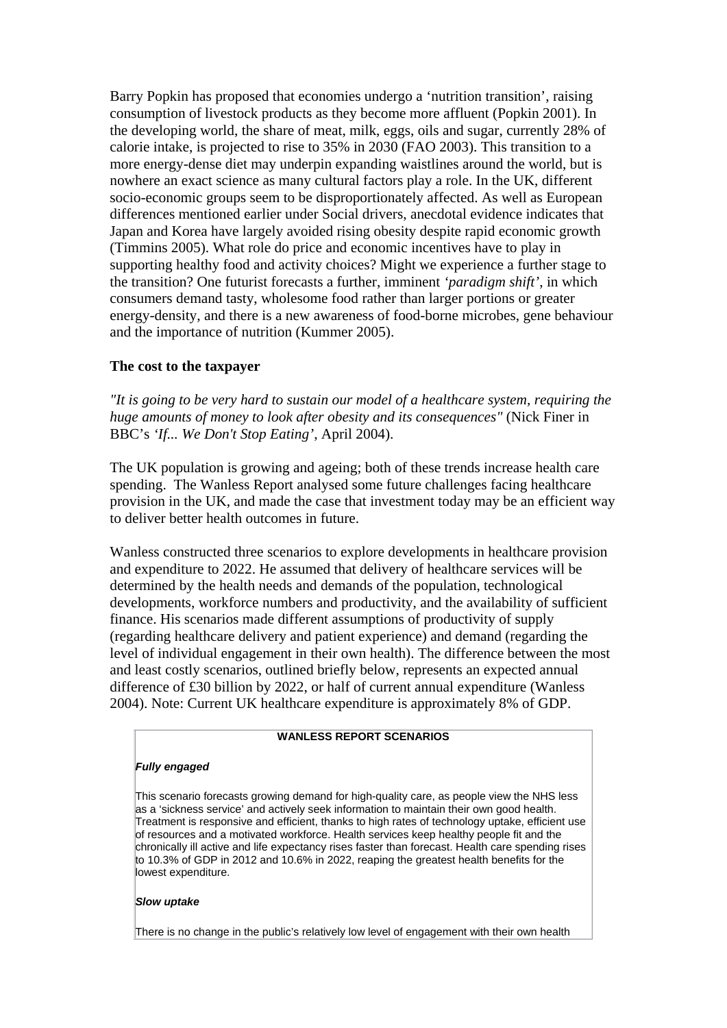Barry Popkin has proposed that economies undergo a 'nutrition transition', raising consumption of livestock products as they become more affluent (Popkin 2001). In the developing world, the share of meat, milk, eggs, oils and sugar, currently 28% of calorie intake, is projected to rise to 35% in 2030 (FAO 2003). This transition to a more energy-dense diet may underpin expanding waistlines around the world, but is nowhere an exact science as many cultural factors play a role. In the UK, different socio-economic groups seem to be disproportionately affected. As well as European differences mentioned earlier under Social drivers, anecdotal evidence indicates that Japan and Korea have largely avoided rising obesity despite rapid economic growth (Timmins 2005). What role do price and economic incentives have to play in supporting healthy food and activity choices? Might we experience a further stage to the transition? One futurist forecasts a further, imminent *'paradigm shift'*, in which consumers demand tasty, wholesome food rather than larger portions or greater energy-density, and there is a new awareness of food-borne microbes, gene behaviour and the importance of nutrition (Kummer 2005).

#### **The cost to the taxpayer**

*"It is going to be very hard to sustain our model of a healthcare system, requiring the huge amounts of money to look after obesity and its consequences"* (Nick Finer in BBC's *'If... We Don't Stop Eating'*, April 2004).

The UK population is growing and ageing; both of these trends increase health care spending. The Wanless Report analysed some future challenges facing healthcare provision in the UK, and made the case that investment today may be an efficient way to deliver better health outcomes in future.

Wanless constructed three scenarios to explore developments in healthcare provision and expenditure to 2022. He assumed that delivery of healthcare services will be determined by the health needs and demands of the population, technological developments, workforce numbers and productivity, and the availability of sufficient finance. His scenarios made different assumptions of productivity of supply (regarding healthcare delivery and patient experience) and demand (regarding the level of individual engagement in their own health). The difference between the most and least costly scenarios, outlined briefly below, represents an expected annual difference of £30 billion by 2022, or half of current annual expenditure (Wanless 2004). Note: Current UK healthcare expenditure is approximately 8% of GDP.

#### **WANLESS REPORT SCENARIOS**

#### *Fully engaged*

This scenario forecasts growing demand for high-quality care, as people view the NHS less as a 'sickness service' and actively seek information to maintain their own good health. Treatment is responsive and efficient, thanks to high rates of technology uptake, efficient use of resources and a motivated workforce. Health services keep healthy people fit and the chronically ill active and life expectancy rises faster than forecast. Health care spending rises to 10.3% of GDP in 2012 and 10.6% in 2022, reaping the greatest health benefits for the lowest expenditure.

#### *Slow uptake*

There is no change in the public's relatively low level of engagement with their own health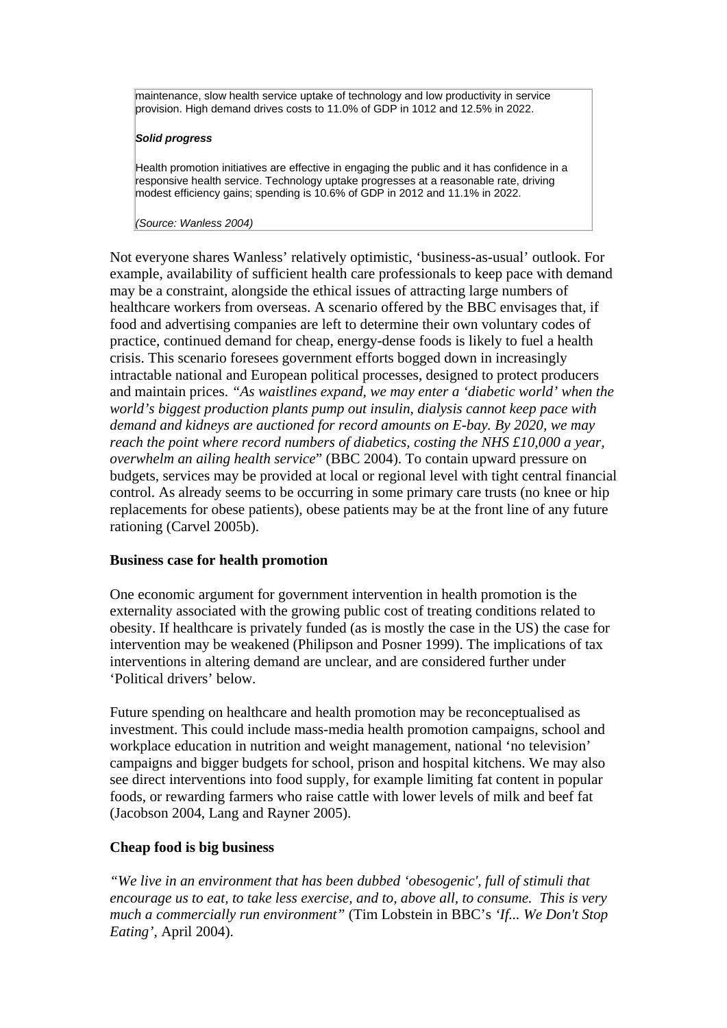maintenance, slow health service uptake of technology and low productivity in service provision. High demand drives costs to 11.0% of GDP in 1012 and 12.5% in 2022.

#### *Solid progress*

Health promotion initiatives are effective in engaging the public and it has confidence in a responsive health service. Technology uptake progresses at a reasonable rate, driving modest efficiency gains; spending is 10.6% of GDP in 2012 and 11.1% in 2022.

#### *(Source: Wanless 2004)*

Not everyone shares Wanless' relatively optimistic, 'business-as-usual' outlook. For example, availability of sufficient health care professionals to keep pace with demand may be a constraint, alongside the ethical issues of attracting large numbers of healthcare workers from overseas. A scenario offered by the BBC envisages that, if food and advertising companies are left to determine their own voluntary codes of practice, continued demand for cheap, energy-dense foods is likely to fuel a health crisis. This scenario foresees government efforts bogged down in increasingly intractable national and European political processes, designed to protect producers and maintain prices. *"As waistlines expand, we may enter a 'diabetic world' when the world's biggest production plants pump out insulin, dialysis cannot keep pace with demand and kidneys are auctioned for record amounts on E-bay. By 2020, we may reach the point where record numbers of diabetics, costing the NHS £10,000 a year, overwhelm an ailing health service*" (BBC 2004). To contain upward pressure on budgets, services may be provided at local or regional level with tight central financial control. As already seems to be occurring in some primary care trusts (no knee or hip replacements for obese patients), obese patients may be at the front line of any future rationing (Carvel 2005b).

# **Business case for health promotion**

One economic argument for government intervention in health promotion is the externality associated with the growing public cost of treating conditions related to obesity. If healthcare is privately funded (as is mostly the case in the US) the case for intervention may be weakened (Philipson and Posner 1999). The implications of tax interventions in altering demand are unclear, and are considered further under 'Political drivers' below.

Future spending on healthcare and health promotion may be reconceptualised as investment. This could include mass-media health promotion campaigns, school and workplace education in nutrition and weight management, national 'no television' campaigns and bigger budgets for school, prison and hospital kitchens. We may also see direct interventions into food supply, for example limiting fat content in popular foods, or rewarding farmers who raise cattle with lower levels of milk and beef fat (Jacobson 2004, Lang and Rayner 2005).

# **Cheap food is big business**

*"We live in an environment that has been dubbed 'obesogenic', full of stimuli that encourage us to eat, to take less exercise, and to, above all, to consume. This is very much a commercially run environment"* (Tim Lobstein in BBC's *'If... We Don't Stop Eating'*, April 2004).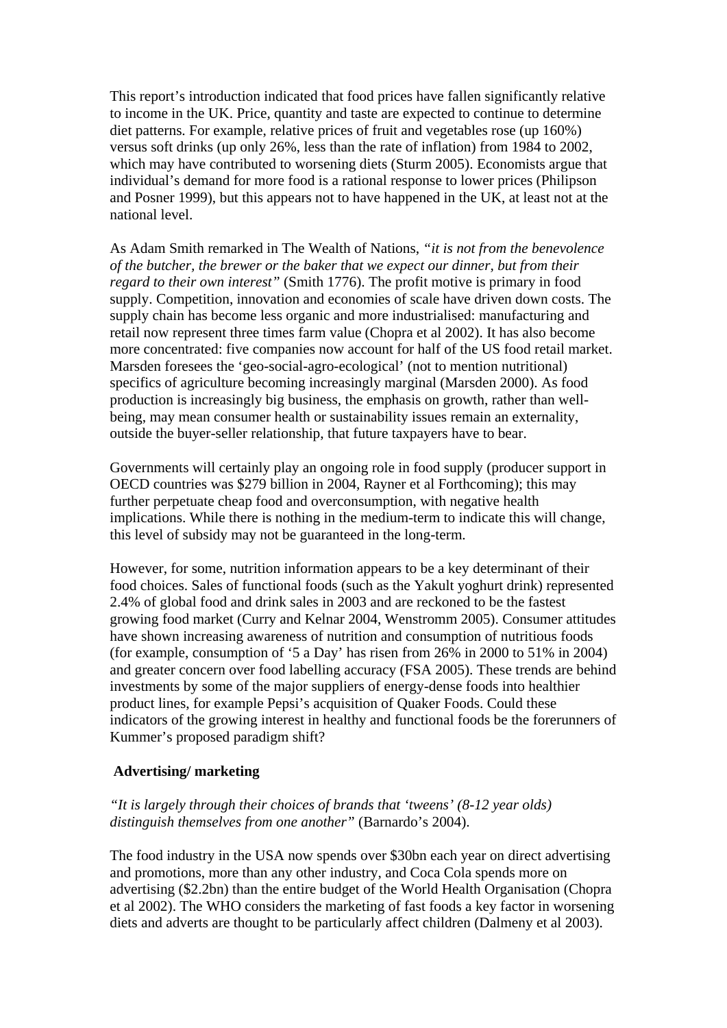This report's introduction indicated that food prices have fallen significantly relative to income in the UK. Price, quantity and taste are expected to continue to determine diet patterns. For example, relative prices of fruit and vegetables rose (up 160%) versus soft drinks (up only 26%, less than the rate of inflation) from 1984 to 2002, which may have contributed to worsening diets (Sturm 2005). Economists argue that individual's demand for more food is a rational response to lower prices (Philipson and Posner 1999), but this appears not to have happened in the UK, at least not at the national level.

As Adam Smith remarked in The Wealth of Nations, *"it is not from the benevolence of the butcher, the brewer or the baker that we expect our dinner, but from their regard to their own interest"* (Smith 1776). The profit motive is primary in food supply. Competition, innovation and economies of scale have driven down costs. The supply chain has become less organic and more industrialised: manufacturing and retail now represent three times farm value (Chopra et al 2002). It has also become more concentrated: five companies now account for half of the US food retail market. Marsden foresees the 'geo-social-agro-ecological' (not to mention nutritional) specifics of agriculture becoming increasingly marginal (Marsden 2000). As food production is increasingly big business, the emphasis on growth, rather than wellbeing, may mean consumer health or sustainability issues remain an externality, outside the buyer-seller relationship, that future taxpayers have to bear.

Governments will certainly play an ongoing role in food supply (producer support in OECD countries was \$279 billion in 2004, Rayner et al Forthcoming); this may further perpetuate cheap food and overconsumption, with negative health implications. While there is nothing in the medium-term to indicate this will change, this level of subsidy may not be guaranteed in the long-term.

However, for some, nutrition information appears to be a key determinant of their food choices. Sales of functional foods (such as the Yakult yoghurt drink) represented 2.4% of global food and drink sales in 2003 and are reckoned to be the fastest growing food market (Curry and Kelnar 2004, Wenstromm 2005). Consumer attitudes have shown increasing awareness of nutrition and consumption of nutritious foods (for example, consumption of '5 a Day' has risen from 26% in 2000 to 51% in 2004) and greater concern over food labelling accuracy (FSA 2005). These trends are behind investments by some of the major suppliers of energy-dense foods into healthier product lines, for example Pepsi's acquisition of Quaker Foods. Could these indicators of the growing interest in healthy and functional foods be the forerunners of Kummer's proposed paradigm shift?

# **Advertising/ marketing**

# *"It is largely through their choices of brands that 'tweens' (8-12 year olds) distinguish themselves from one another"* (Barnardo's 2004).

The food industry in the USA now spends over \$30bn each year on direct advertising and promotions, more than any other industry, and Coca Cola spends more on advertising (\$2.2bn) than the entire budget of the World Health Organisation (Chopra et al 2002). The WHO considers the marketing of fast foods a key factor in worsening diets and adverts are thought to be particularly affect children (Dalmeny et al 2003).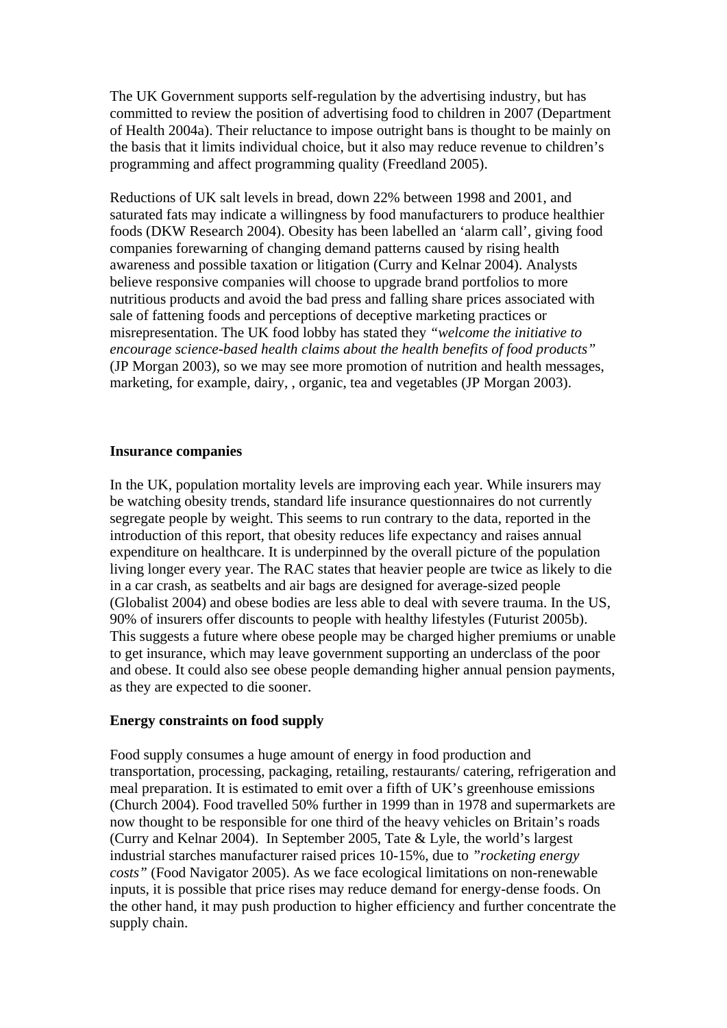The UK Government supports self-regulation by the advertising industry, but has committed to review the position of advertising food to children in 2007 (Department of Health 2004a). Their reluctance to impose outright bans is thought to be mainly on the basis that it limits individual choice, but it also may reduce revenue to children's programming and affect programming quality (Freedland 2005).

Reductions of UK salt levels in bread, down 22% between 1998 and 2001, and saturated fats may indicate a willingness by food manufacturers to produce healthier foods (DKW Research 2004). Obesity has been labelled an 'alarm call', giving food companies forewarning of changing demand patterns caused by rising health awareness and possible taxation or litigation (Curry and Kelnar 2004). Analysts believe responsive companies will choose to upgrade brand portfolios to more nutritious products and avoid the bad press and falling share prices associated with sale of fattening foods and perceptions of deceptive marketing practices or misrepresentation. The UK food lobby has stated they *"welcome the initiative to encourage science-based health claims about the health benefits of food products"* (JP Morgan 2003), so we may see more promotion of nutrition and health messages, marketing, for example, dairy, , organic, tea and vegetables (JP Morgan 2003).

# **Insurance companies**

In the UK, population mortality levels are improving each year. While insurers may be watching obesity trends, standard life insurance questionnaires do not currently segregate people by weight. This seems to run contrary to the data, reported in the introduction of this report, that obesity reduces life expectancy and raises annual expenditure on healthcare. It is underpinned by the overall picture of the population living longer every year. The RAC states that heavier people are twice as likely to die in a car crash, as seatbelts and air bags are designed for average-sized people (Globalist 2004) and obese bodies are less able to deal with severe trauma. In the US, 90% of insurers offer discounts to people with healthy lifestyles (Futurist 2005b). This suggests a future where obese people may be charged higher premiums or unable to get insurance, which may leave government supporting an underclass of the poor and obese. It could also see obese people demanding higher annual pension payments, as they are expected to die sooner.

#### **Energy constraints on food supply**

Food supply consumes a huge amount of energy in food production and transportation, processing, packaging, retailing, restaurants/ catering, refrigeration and meal preparation. It is estimated to emit over a fifth of UK's greenhouse emissions (Church 2004). Food travelled 50% further in 1999 than in 1978 and supermarkets are now thought to be responsible for one third of the heavy vehicles on Britain's roads (Curry and Kelnar 2004). In September 2005, Tate & Lyle, the world's largest industrial starches manufacturer raised prices 10-15%, due to *"rocketing energy costs"* (Food Navigator 2005). As we face ecological limitations on non-renewable inputs, it is possible that price rises may reduce demand for energy-dense foods. On the other hand, it may push production to higher efficiency and further concentrate the supply chain.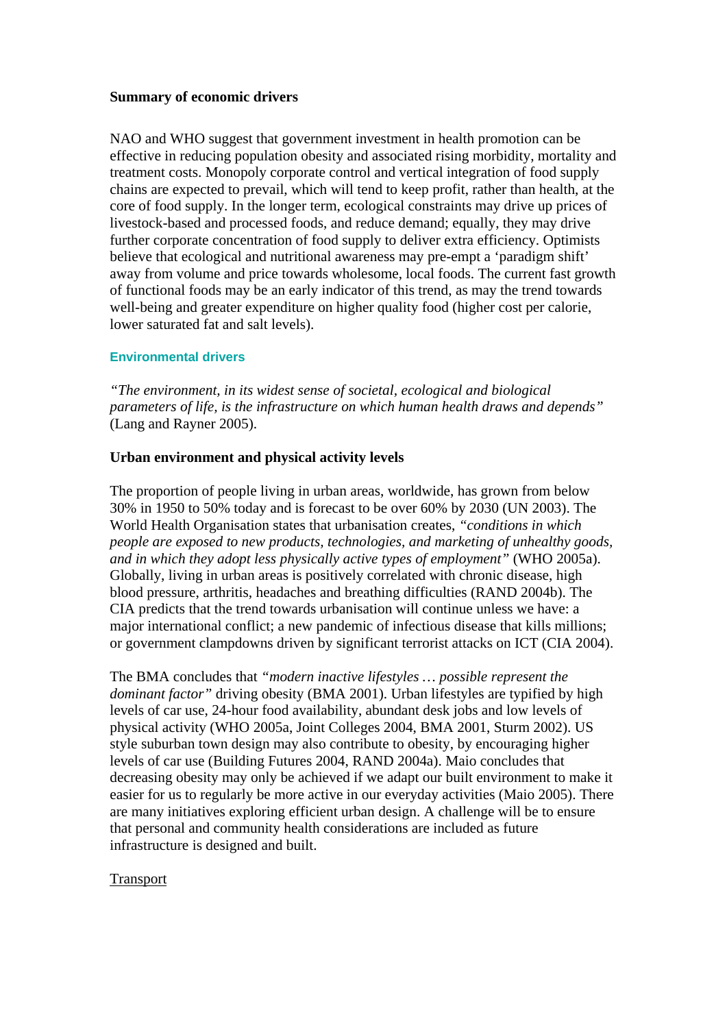# **Summary of economic drivers**

NAO and WHO suggest that government investment in health promotion can be effective in reducing population obesity and associated rising morbidity, mortality and treatment costs. Monopoly corporate control and vertical integration of food supply chains are expected to prevail, which will tend to keep profit, rather than health, at the core of food supply. In the longer term, ecological constraints may drive up prices of livestock-based and processed foods, and reduce demand; equally, they may drive further corporate concentration of food supply to deliver extra efficiency. Optimists believe that ecological and nutritional awareness may pre-empt a 'paradigm shift' away from volume and price towards wholesome, local foods. The current fast growth of functional foods may be an early indicator of this trend, as may the trend towards well-being and greater expenditure on higher quality food (higher cost per calorie, lower saturated fat and salt levels).

#### **Environmental drivers**

*"The environment, in its widest sense of societal, ecological and biological parameters of life, is the infrastructure on which human health draws and depends"* (Lang and Rayner 2005).

#### **Urban environment and physical activity levels**

The proportion of people living in urban areas, worldwide, has grown from below 30% in 1950 to 50% today and is forecast to be over 60% by 2030 (UN 2003). The World Health Organisation states that urbanisation creates, *"conditions in which people are exposed to new products, technologies, and marketing of unhealthy goods, and in which they adopt less physically active types of employment"* (WHO 2005a). Globally, living in urban areas is positively correlated with chronic disease, high blood pressure, arthritis, headaches and breathing difficulties (RAND 2004b). The CIA predicts that the trend towards urbanisation will continue unless we have: a major international conflict; a new pandemic of infectious disease that kills millions; or government clampdowns driven by significant terrorist attacks on ICT (CIA 2004).

The BMA concludes that *"modern inactive lifestyles … possible represent the dominant factor*" driving obesity (BMA 2001). Urban lifestyles are typified by high levels of car use, 24-hour food availability, abundant desk jobs and low levels of physical activity (WHO 2005a, Joint Colleges 2004, BMA 2001, Sturm 2002). US style suburban town design may also contribute to obesity, by encouraging higher levels of car use (Building Futures 2004, RAND 2004a). Maio concludes that decreasing obesity may only be achieved if we adapt our built environment to make it easier for us to regularly be more active in our everyday activities (Maio 2005). There are many initiatives exploring efficient urban design. A challenge will be to ensure that personal and community health considerations are included as future infrastructure is designed and built.

#### Transport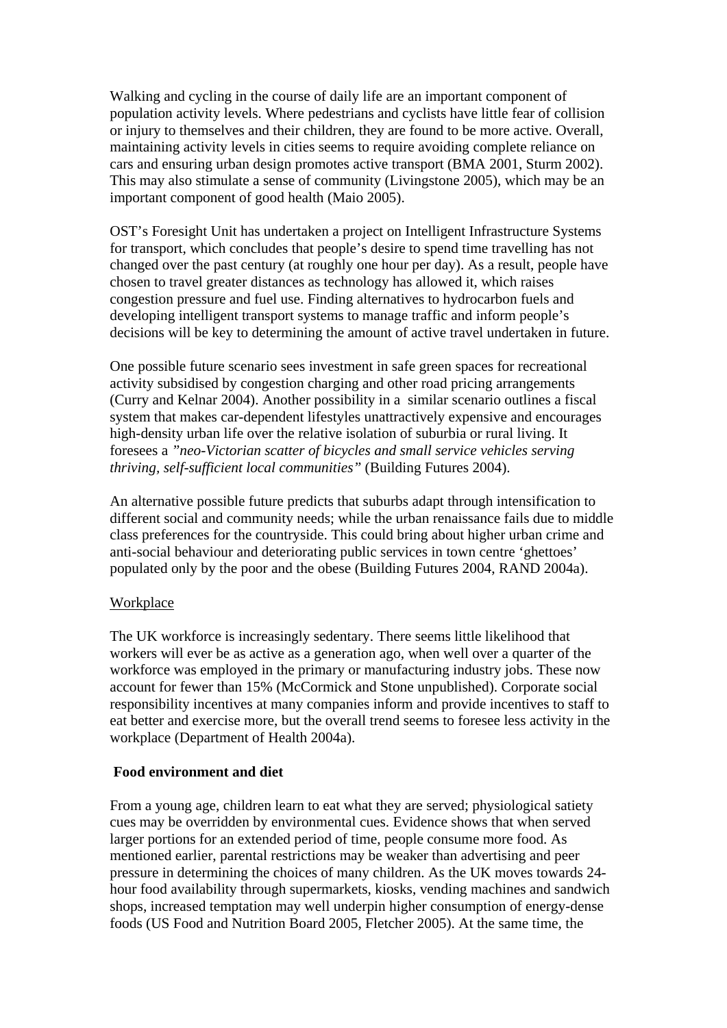Walking and cycling in the course of daily life are an important component of population activity levels. Where pedestrians and cyclists have little fear of collision or injury to themselves and their children, they are found to be more active. Overall, maintaining activity levels in cities seems to require avoiding complete reliance on cars and ensuring urban design promotes active transport (BMA 2001, Sturm 2002). This may also stimulate a sense of community (Livingstone 2005), which may be an important component of good health (Maio 2005).

OST's Foresight Unit has undertaken a project on Intelligent Infrastructure Systems for transport, which concludes that people's desire to spend time travelling has not changed over the past century (at roughly one hour per day). As a result, people have chosen to travel greater distances as technology has allowed it, which raises congestion pressure and fuel use. Finding alternatives to hydrocarbon fuels and developing intelligent transport systems to manage traffic and inform people's decisions will be key to determining the amount of active travel undertaken in future.

One possible future scenario sees investment in safe green spaces for recreational activity subsidised by congestion charging and other road pricing arrangements (Curry and Kelnar 2004). Another possibility in a similar scenario outlines a fiscal system that makes car-dependent lifestyles unattractively expensive and encourages high-density urban life over the relative isolation of suburbia or rural living. It foresees a *"neo-Victorian scatter of bicycles and small service vehicles serving thriving, self-sufficient local communities"* (Building Futures 2004).

An alternative possible future predicts that suburbs adapt through intensification to different social and community needs; while the urban renaissance fails due to middle class preferences for the countryside. This could bring about higher urban crime and anti-social behaviour and deteriorating public services in town centre 'ghettoes' populated only by the poor and the obese (Building Futures 2004, RAND 2004a).

# **Workplace**

The UK workforce is increasingly sedentary. There seems little likelihood that workers will ever be as active as a generation ago, when well over a quarter of the workforce was employed in the primary or manufacturing industry jobs. These now account for fewer than 15% (McCormick and Stone unpublished). Corporate social responsibility incentives at many companies inform and provide incentives to staff to eat better and exercise more, but the overall trend seems to foresee less activity in the workplace (Department of Health 2004a).

# **Food environment and diet**

From a young age, children learn to eat what they are served; physiological satiety cues may be overridden by environmental cues. Evidence shows that when served larger portions for an extended period of time, people consume more food. As mentioned earlier, parental restrictions may be weaker than advertising and peer pressure in determining the choices of many children. As the UK moves towards 24 hour food availability through supermarkets, kiosks, vending machines and sandwich shops, increased temptation may well underpin higher consumption of energy-dense foods (US Food and Nutrition Board 2005, Fletcher 2005). At the same time, the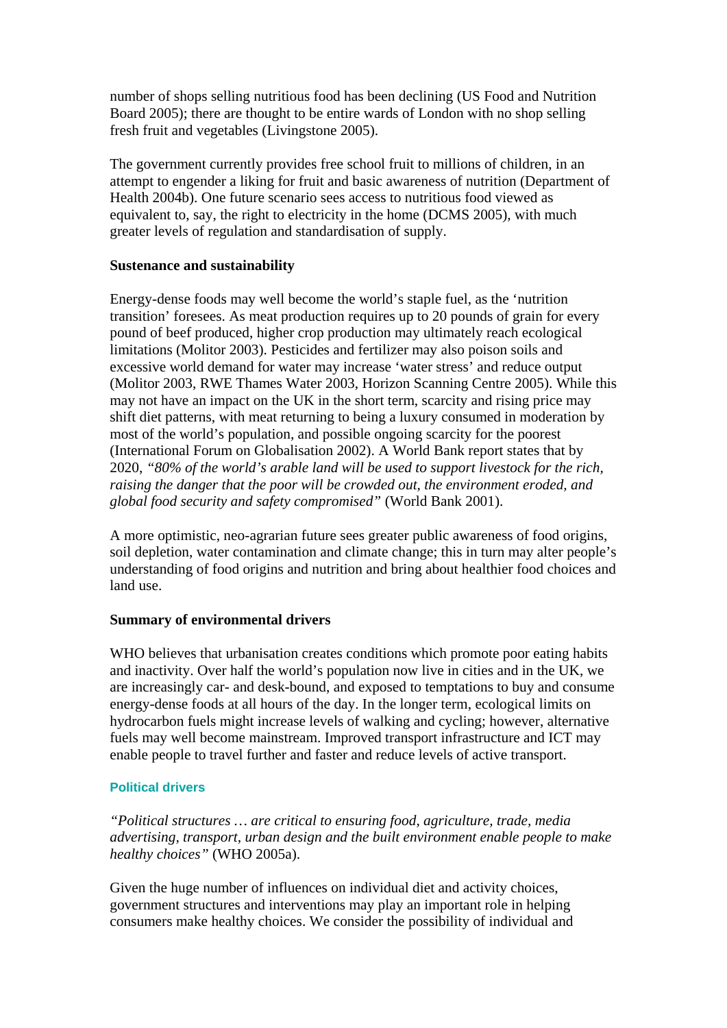number of shops selling nutritious food has been declining (US Food and Nutrition Board 2005); there are thought to be entire wards of London with no shop selling fresh fruit and vegetables (Livingstone 2005).

The government currently provides free school fruit to millions of children, in an attempt to engender a liking for fruit and basic awareness of nutrition (Department of Health 2004b). One future scenario sees access to nutritious food viewed as equivalent to, say, the right to electricity in the home (DCMS 2005), with much greater levels of regulation and standardisation of supply.

# **Sustenance and sustainability**

Energy-dense foods may well become the world's staple fuel, as the 'nutrition transition' foresees. As meat production requires up to 20 pounds of grain for every pound of beef produced, higher crop production may ultimately reach ecological limitations (Molitor 2003). Pesticides and fertilizer may also poison soils and excessive world demand for water may increase 'water stress' and reduce output (Molitor 2003, RWE Thames Water 2003, Horizon Scanning Centre 2005). While this may not have an impact on the UK in the short term, scarcity and rising price may shift diet patterns, with meat returning to being a luxury consumed in moderation by most of the world's population, and possible ongoing scarcity for the poorest (International Forum on Globalisation 2002). A World Bank report states that by 2020, *"80% of the world's arable land will be used to support livestock for the rich, raising the danger that the poor will be crowded out, the environment eroded, and global food security and safety compromised"* (World Bank 2001).

A more optimistic, neo-agrarian future sees greater public awareness of food origins, soil depletion, water contamination and climate change; this in turn may alter people's understanding of food origins and nutrition and bring about healthier food choices and land use.

# **Summary of environmental drivers**

WHO believes that urbanisation creates conditions which promote poor eating habits and inactivity. Over half the world's population now live in cities and in the UK, we are increasingly car- and desk-bound, and exposed to temptations to buy and consume energy-dense foods at all hours of the day. In the longer term, ecological limits on hydrocarbon fuels might increase levels of walking and cycling; however, alternative fuels may well become mainstream. Improved transport infrastructure and ICT may enable people to travel further and faster and reduce levels of active transport.

# **Political drivers**

*"Political structures … are critical to ensuring food, agriculture, trade, media advertising, transport, urban design and the built environment enable people to make healthy choices"* (WHO 2005a).

Given the huge number of influences on individual diet and activity choices, government structures and interventions may play an important role in helping consumers make healthy choices. We consider the possibility of individual and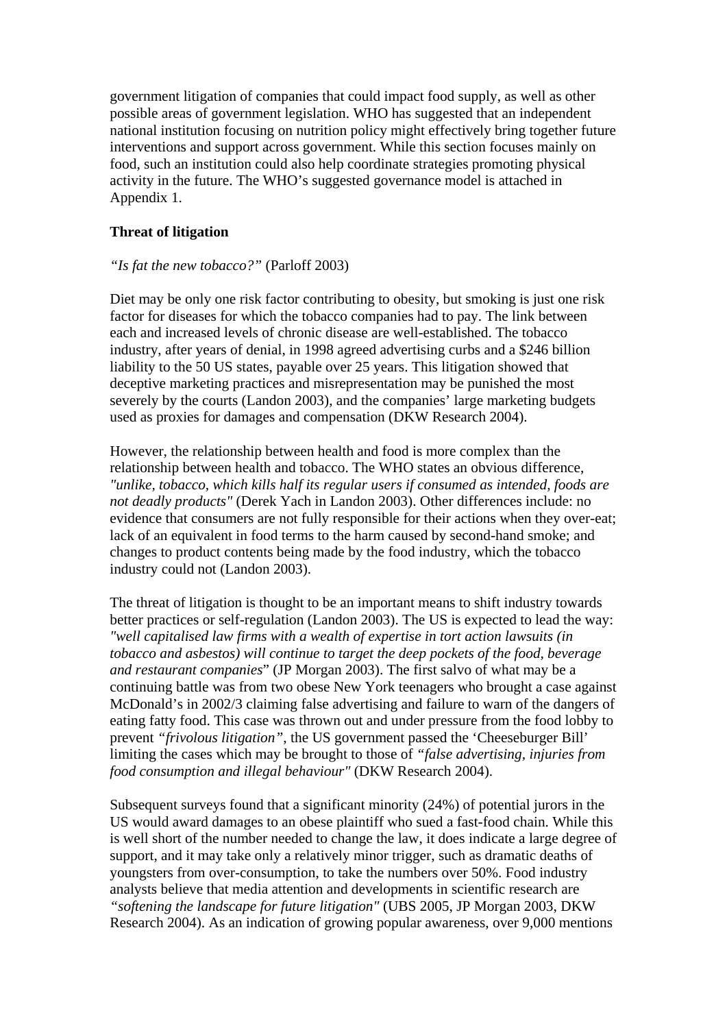government litigation of companies that could impact food supply, as well as other possible areas of government legislation. WHO has suggested that an independent national institution focusing on nutrition policy might effectively bring together future interventions and support across government. While this section focuses mainly on food, such an institution could also help coordinate strategies promoting physical activity in the future. The WHO's suggested governance model is attached in Appendix 1.

# **Threat of litigation**

# *"Is fat the new tobacco?"* (Parloff 2003)

Diet may be only one risk factor contributing to obesity, but smoking is just one risk factor for diseases for which the tobacco companies had to pay. The link between each and increased levels of chronic disease are well-established. The tobacco industry, after years of denial, in 1998 agreed advertising curbs and a \$246 billion liability to the 50 US states, payable over 25 years. This litigation showed that deceptive marketing practices and misrepresentation may be punished the most severely by the courts (Landon 2003), and the companies' large marketing budgets used as proxies for damages and compensation (DKW Research 2004).

However, the relationship between health and food is more complex than the relationship between health and tobacco. The WHO states an obvious difference, *"unlike, tobacco, which kills half its regular users if consumed as intended, foods are not deadly products"* (Derek Yach in Landon 2003). Other differences include: no evidence that consumers are not fully responsible for their actions when they over-eat; lack of an equivalent in food terms to the harm caused by second-hand smoke; and changes to product contents being made by the food industry, which the tobacco industry could not (Landon 2003).

The threat of litigation is thought to be an important means to shift industry towards better practices or self-regulation (Landon 2003). The US is expected to lead the way: *"well capitalised law firms with a wealth of expertise in tort action lawsuits (in tobacco and asbestos) will continue to target the deep pockets of the food, beverage and restaurant companies*" (JP Morgan 2003). The first salvo of what may be a continuing battle was from two obese New York teenagers who brought a case against McDonald's in 2002/3 claiming false advertising and failure to warn of the dangers of eating fatty food. This case was thrown out and under pressure from the food lobby to prevent *"frivolous litigation"*, the US government passed the 'Cheeseburger Bill' limiting the cases which may be brought to those of *"false advertising, injuries from food consumption and illegal behaviour"* (DKW Research 2004).

Subsequent surveys found that a significant minority (24%) of potential jurors in the US would award damages to an obese plaintiff who sued a fast-food chain. While this is well short of the number needed to change the law, it does indicate a large degree of support, and it may take only a relatively minor trigger, such as dramatic deaths of youngsters from over-consumption, to take the numbers over 50%. Food industry analysts believe that media attention and developments in scientific research are *"softening the landscape for future litigation"* (UBS 2005, JP Morgan 2003, DKW Research 2004). As an indication of growing popular awareness, over 9,000 mentions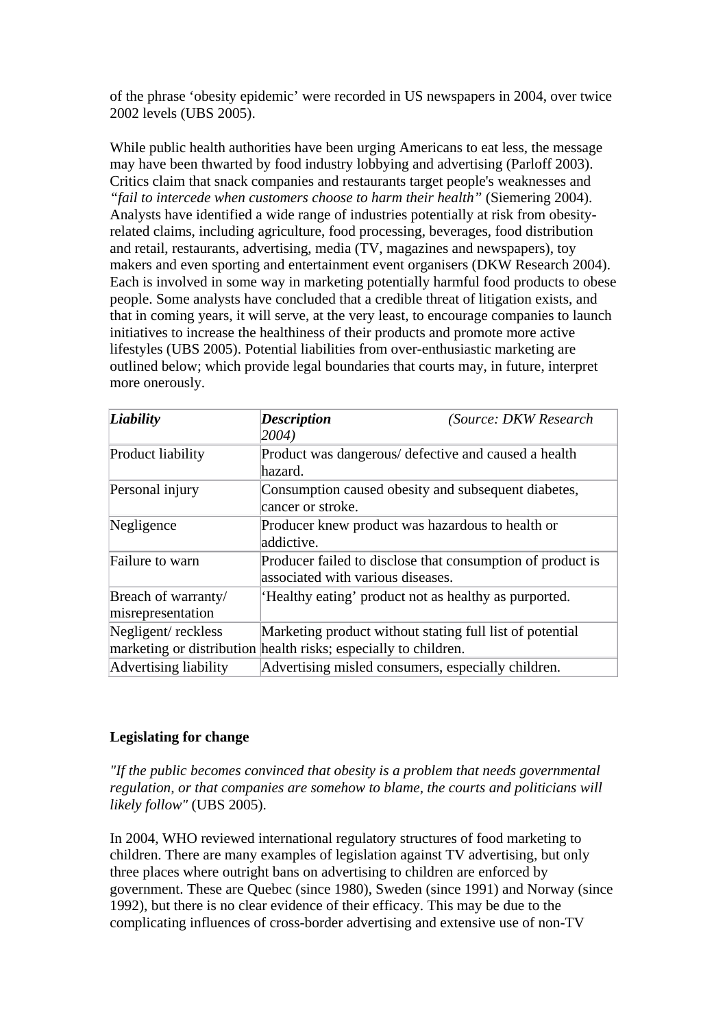of the phrase 'obesity epidemic' were recorded in US newspapers in 2004, over twice 2002 levels (UBS 2005).

While public health authorities have been urging Americans to eat less, the message may have been thwarted by food industry lobbying and advertising (Parloff 2003). Critics claim that snack companies and restaurants target people's weaknesses and *"fail to intercede when customers choose to harm their health"* (Siemering 2004). Analysts have identified a wide range of industries potentially at risk from obesityrelated claims, including agriculture, food processing, beverages, food distribution and retail, restaurants, advertising, media (TV, magazines and newspapers), toy makers and even sporting and entertainment event organisers (DKW Research 2004). Each is involved in some way in marketing potentially harmful food products to obese people. Some analysts have concluded that a credible threat of litigation exists, and that in coming years, it will serve, at the very least, to encourage companies to launch initiatives to increase the healthiness of their products and promote more active lifestyles (UBS 2005). Potential liabilities from over-enthusiastic marketing are outlined below; which provide legal boundaries that courts may, in future, interpret more onerously.

| Liability                                | <b>Description</b><br>2004)                                                                                                 | (Source: DKW Research |  |
|------------------------------------------|-----------------------------------------------------------------------------------------------------------------------------|-----------------------|--|
| Product liability                        | Product was dangerous/ defective and caused a health<br>hazard.                                                             |                       |  |
| Personal injury                          | Consumption caused obesity and subsequent diabetes,<br>cancer or stroke.                                                    |                       |  |
| Negligence                               | Producer knew product was hazardous to health or<br>addictive.                                                              |                       |  |
| Failure to warn                          | Producer failed to disclose that consumption of product is<br>associated with various diseases.                             |                       |  |
| Breach of warranty/<br>misrepresentation | 'Healthy eating' product not as healthy as purported.                                                                       |                       |  |
| Negligent/reckless                       | Marketing product without stating full list of potential<br>marketing or distribution health risks; especially to children. |                       |  |
| Advertising liability                    | Advertising misled consumers, especially children.                                                                          |                       |  |

# **Legislating for change**

*"If the public becomes convinced that obesity is a problem that needs governmental regulation, or that companies are somehow to blame, the courts and politicians will likely follow"* (UBS 2005).

In 2004, WHO reviewed international regulatory structures of food marketing to children. There are many examples of legislation against TV advertising, but only three places where outright bans on advertising to children are enforced by government. These are Quebec (since 1980), Sweden (since 1991) and Norway (since 1992), but there is no clear evidence of their efficacy. This may be due to the complicating influences of cross-border advertising and extensive use of non-TV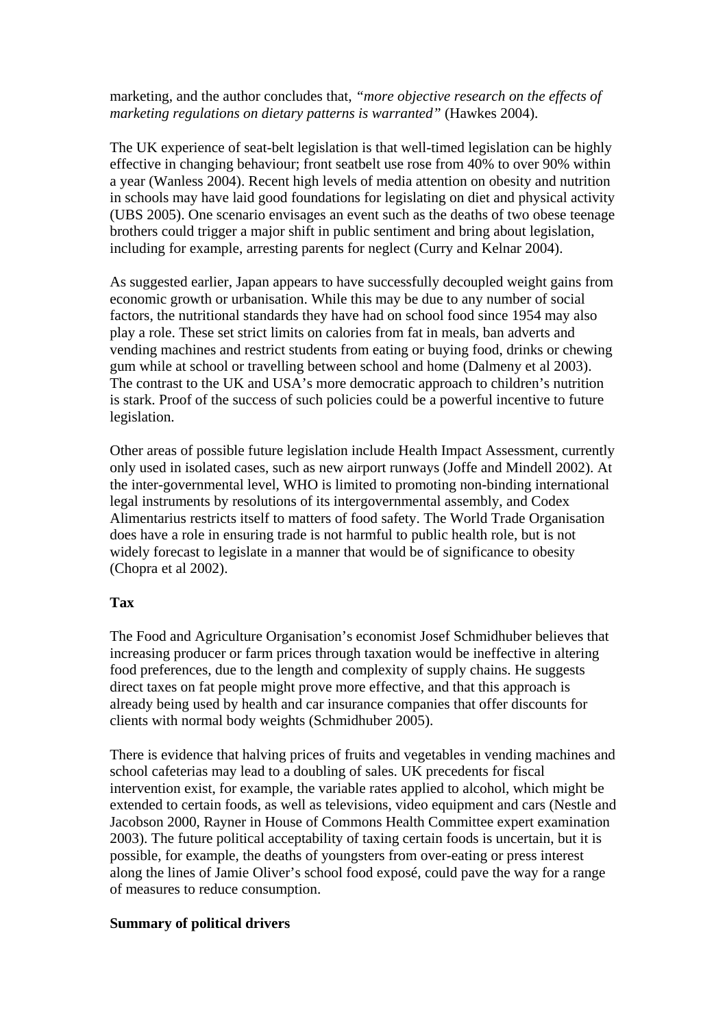marketing, and the author concludes that, *"more objective research on the effects of marketing regulations on dietary patterns is warranted"* (Hawkes 2004).

The UK experience of seat-belt legislation is that well-timed legislation can be highly effective in changing behaviour; front seatbelt use rose from 40% to over 90% within a year (Wanless 2004). Recent high levels of media attention on obesity and nutrition in schools may have laid good foundations for legislating on diet and physical activity (UBS 2005). One scenario envisages an event such as the deaths of two obese teenage brothers could trigger a major shift in public sentiment and bring about legislation, including for example, arresting parents for neglect (Curry and Kelnar 2004).

As suggested earlier, Japan appears to have successfully decoupled weight gains from economic growth or urbanisation. While this may be due to any number of social factors, the nutritional standards they have had on school food since 1954 may also play a role. These set strict limits on calories from fat in meals, ban adverts and vending machines and restrict students from eating or buying food, drinks or chewing gum while at school or travelling between school and home (Dalmeny et al 2003). The contrast to the UK and USA's more democratic approach to children's nutrition is stark. Proof of the success of such policies could be a powerful incentive to future legislation.

Other areas of possible future legislation include Health Impact Assessment, currently only used in isolated cases, such as new airport runways (Joffe and Mindell 2002). At the inter-governmental level, WHO is limited to promoting non-binding international legal instruments by resolutions of its intergovernmental assembly, and Codex Alimentarius restricts itself to matters of food safety. The World Trade Organisation does have a role in ensuring trade is not harmful to public health role, but is not widely forecast to legislate in a manner that would be of significance to obesity (Chopra et al 2002).

# **Tax**

The Food and Agriculture Organisation's economist Josef Schmidhuber believes that increasing producer or farm prices through taxation would be ineffective in altering food preferences, due to the length and complexity of supply chains. He suggests direct taxes on fat people might prove more effective, and that this approach is already being used by health and car insurance companies that offer discounts for clients with normal body weights (Schmidhuber 2005).

There is evidence that halving prices of fruits and vegetables in vending machines and school cafeterias may lead to a doubling of sales. UK precedents for fiscal intervention exist, for example, the variable rates applied to alcohol, which might be extended to certain foods, as well as televisions, video equipment and cars (Nestle and Jacobson 2000, Rayner in House of Commons Health Committee expert examination 2003). The future political acceptability of taxing certain foods is uncertain, but it is possible, for example, the deaths of youngsters from over-eating or press interest along the lines of Jamie Oliver's school food exposé, could pave the way for a range of measures to reduce consumption.

# **Summary of political drivers**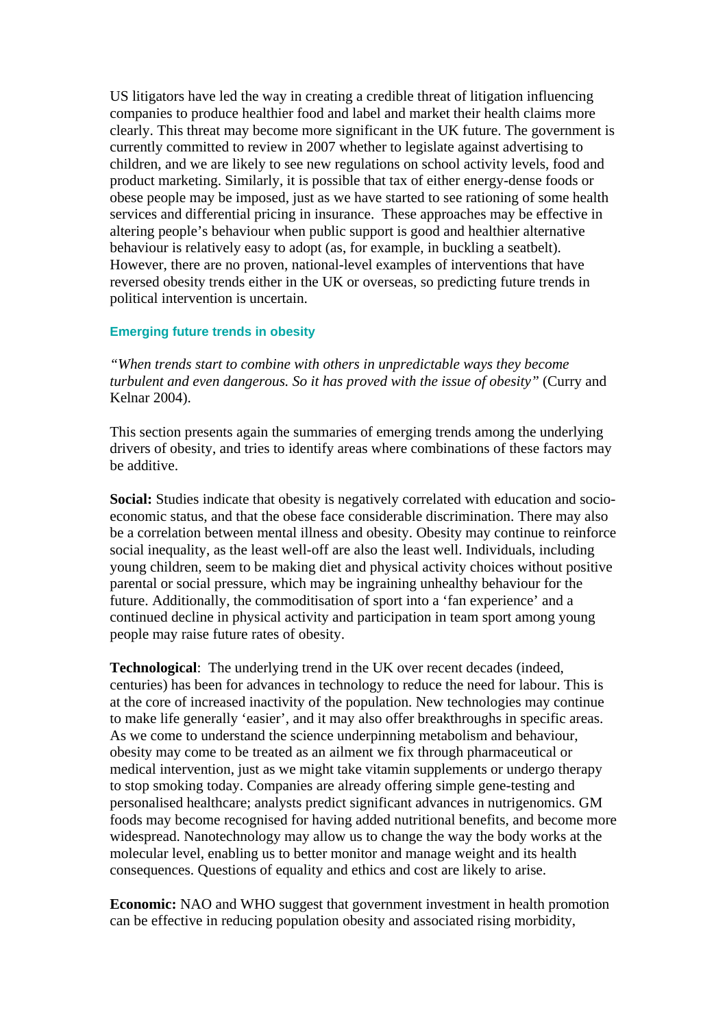US litigators have led the way in creating a credible threat of litigation influencing companies to produce healthier food and label and market their health claims more clearly. This threat may become more significant in the UK future. The government is currently committed to review in 2007 whether to legislate against advertising to children, and we are likely to see new regulations on school activity levels, food and product marketing. Similarly, it is possible that tax of either energy-dense foods or obese people may be imposed, just as we have started to see rationing of some health services and differential pricing in insurance. These approaches may be effective in altering people's behaviour when public support is good and healthier alternative behaviour is relatively easy to adopt (as, for example, in buckling a seatbelt). However, there are no proven, national-level examples of interventions that have reversed obesity trends either in the UK or overseas, so predicting future trends in political intervention is uncertain.

#### **Emerging future trends in obesity**

*"When trends start to combine with others in unpredictable ways they become turbulent and even dangerous. So it has proved with the issue of obesity"* (Curry and Kelnar 2004).

This section presents again the summaries of emerging trends among the underlying drivers of obesity, and tries to identify areas where combinations of these factors may be additive.

**Social:** Studies indicate that obesity is negatively correlated with education and socioeconomic status, and that the obese face considerable discrimination. There may also be a correlation between mental illness and obesity. Obesity may continue to reinforce social inequality, as the least well-off are also the least well. Individuals, including young children, seem to be making diet and physical activity choices without positive parental or social pressure, which may be ingraining unhealthy behaviour for the future. Additionally, the commoditisation of sport into a 'fan experience' and a continued decline in physical activity and participation in team sport among young people may raise future rates of obesity.

**Technological**: The underlying trend in the UK over recent decades (indeed, centuries) has been for advances in technology to reduce the need for labour. This is at the core of increased inactivity of the population. New technologies may continue to make life generally 'easier', and it may also offer breakthroughs in specific areas. As we come to understand the science underpinning metabolism and behaviour, obesity may come to be treated as an ailment we fix through pharmaceutical or medical intervention, just as we might take vitamin supplements or undergo therapy to stop smoking today. Companies are already offering simple gene-testing and personalised healthcare; analysts predict significant advances in nutrigenomics. GM foods may become recognised for having added nutritional benefits, and become more widespread. Nanotechnology may allow us to change the way the body works at the molecular level, enabling us to better monitor and manage weight and its health consequences. Questions of equality and ethics and cost are likely to arise.

**Economic:** NAO and WHO suggest that government investment in health promotion can be effective in reducing population obesity and associated rising morbidity,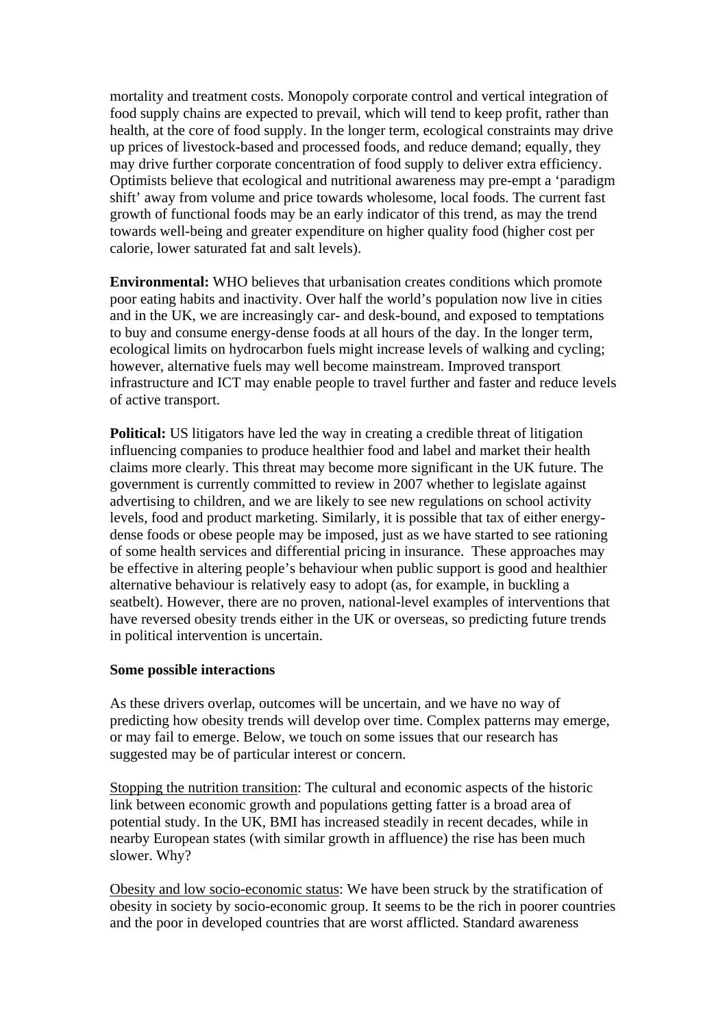mortality and treatment costs. Monopoly corporate control and vertical integration of food supply chains are expected to prevail, which will tend to keep profit, rather than health, at the core of food supply. In the longer term, ecological constraints may drive up prices of livestock-based and processed foods, and reduce demand; equally, they may drive further corporate concentration of food supply to deliver extra efficiency. Optimists believe that ecological and nutritional awareness may pre-empt a 'paradigm shift' away from volume and price towards wholesome, local foods. The current fast growth of functional foods may be an early indicator of this trend, as may the trend towards well-being and greater expenditure on higher quality food (higher cost per calorie, lower saturated fat and salt levels).

**Environmental:** WHO believes that urbanisation creates conditions which promote poor eating habits and inactivity. Over half the world's population now live in cities and in the UK, we are increasingly car- and desk-bound, and exposed to temptations to buy and consume energy-dense foods at all hours of the day. In the longer term, ecological limits on hydrocarbon fuels might increase levels of walking and cycling; however, alternative fuels may well become mainstream. Improved transport infrastructure and ICT may enable people to travel further and faster and reduce levels of active transport.

**Political:** US litigators have led the way in creating a credible threat of litigation influencing companies to produce healthier food and label and market their health claims more clearly. This threat may become more significant in the UK future. The government is currently committed to review in 2007 whether to legislate against advertising to children, and we are likely to see new regulations on school activity levels, food and product marketing. Similarly, it is possible that tax of either energydense foods or obese people may be imposed, just as we have started to see rationing of some health services and differential pricing in insurance. These approaches may be effective in altering people's behaviour when public support is good and healthier alternative behaviour is relatively easy to adopt (as, for example, in buckling a seatbelt). However, there are no proven, national-level examples of interventions that have reversed obesity trends either in the UK or overseas, so predicting future trends in political intervention is uncertain.

# **Some possible interactions**

As these drivers overlap, outcomes will be uncertain, and we have no way of predicting how obesity trends will develop over time. Complex patterns may emerge, or may fail to emerge. Below, we touch on some issues that our research has suggested may be of particular interest or concern.

Stopping the nutrition transition: The cultural and economic aspects of the historic link between economic growth and populations getting fatter is a broad area of potential study. In the UK, BMI has increased steadily in recent decades, while in nearby European states (with similar growth in affluence) the rise has been much slower. Why?

Obesity and low socio-economic status: We have been struck by the stratification of obesity in society by socio-economic group. It seems to be the rich in poorer countries and the poor in developed countries that are worst afflicted. Standard awareness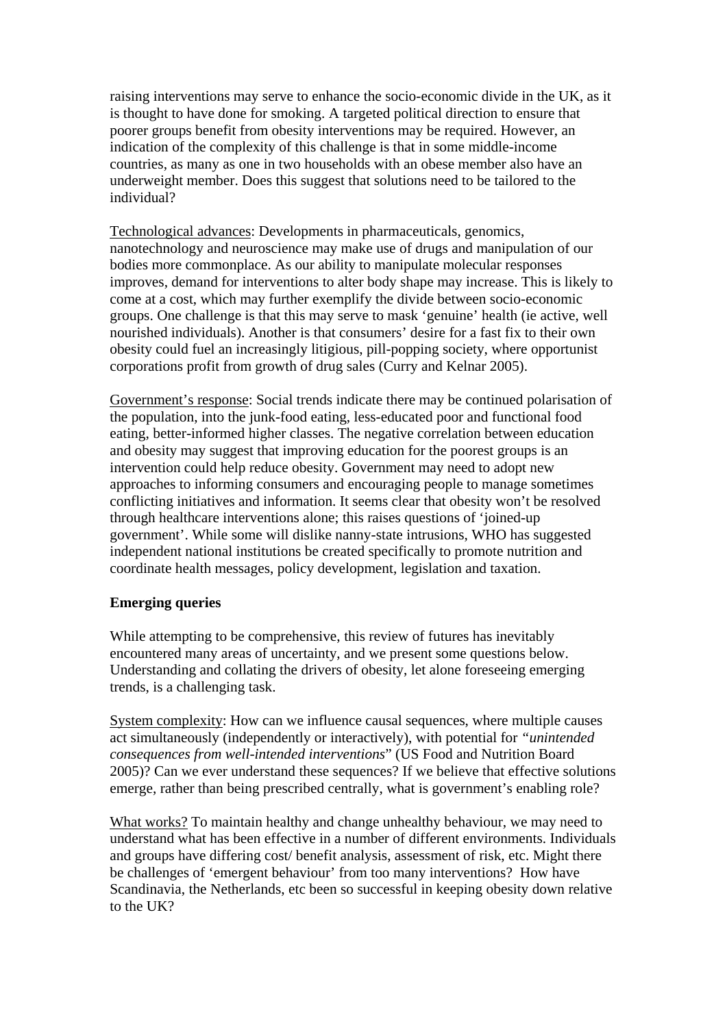raising interventions may serve to enhance the socio-economic divide in the UK, as it is thought to have done for smoking. A targeted political direction to ensure that poorer groups benefit from obesity interventions may be required. However, an indication of the complexity of this challenge is that in some middle-income countries, as many as one in two households with an obese member also have an underweight member. Does this suggest that solutions need to be tailored to the individual?

Technological advances: Developments in pharmaceuticals, genomics, nanotechnology and neuroscience may make use of drugs and manipulation of our bodies more commonplace. As our ability to manipulate molecular responses improves, demand for interventions to alter body shape may increase. This is likely to come at a cost, which may further exemplify the divide between socio-economic groups. One challenge is that this may serve to mask 'genuine' health (ie active, well nourished individuals). Another is that consumers' desire for a fast fix to their own obesity could fuel an increasingly litigious, pill-popping society, where opportunist corporations profit from growth of drug sales (Curry and Kelnar 2005).

Government's response: Social trends indicate there may be continued polarisation of the population, into the junk-food eating, less-educated poor and functional food eating, better-informed higher classes. The negative correlation between education and obesity may suggest that improving education for the poorest groups is an intervention could help reduce obesity. Government may need to adopt new approaches to informing consumers and encouraging people to manage sometimes conflicting initiatives and information. It seems clear that obesity won't be resolved through healthcare interventions alone; this raises questions of 'joined-up government'. While some will dislike nanny-state intrusions, WHO has suggested independent national institutions be created specifically to promote nutrition and coordinate health messages, policy development, legislation and taxation.

# **Emerging queries**

While attempting to be comprehensive, this review of futures has inevitably encountered many areas of uncertainty, and we present some questions below. Understanding and collating the drivers of obesity, let alone foreseeing emerging trends, is a challenging task.

System complexity: How can we influence causal sequences, where multiple causes act simultaneously (independently or interactively), with potential for *"unintended consequences from well-intended interventions*" (US Food and Nutrition Board 2005)? Can we ever understand these sequences? If we believe that effective solutions emerge, rather than being prescribed centrally, what is government's enabling role?

What works? To maintain healthy and change unhealthy behaviour, we may need to understand what has been effective in a number of different environments. Individuals and groups have differing cost/ benefit analysis, assessment of risk, etc. Might there be challenges of 'emergent behaviour' from too many interventions? How have Scandinavia, the Netherlands, etc been so successful in keeping obesity down relative to the UK?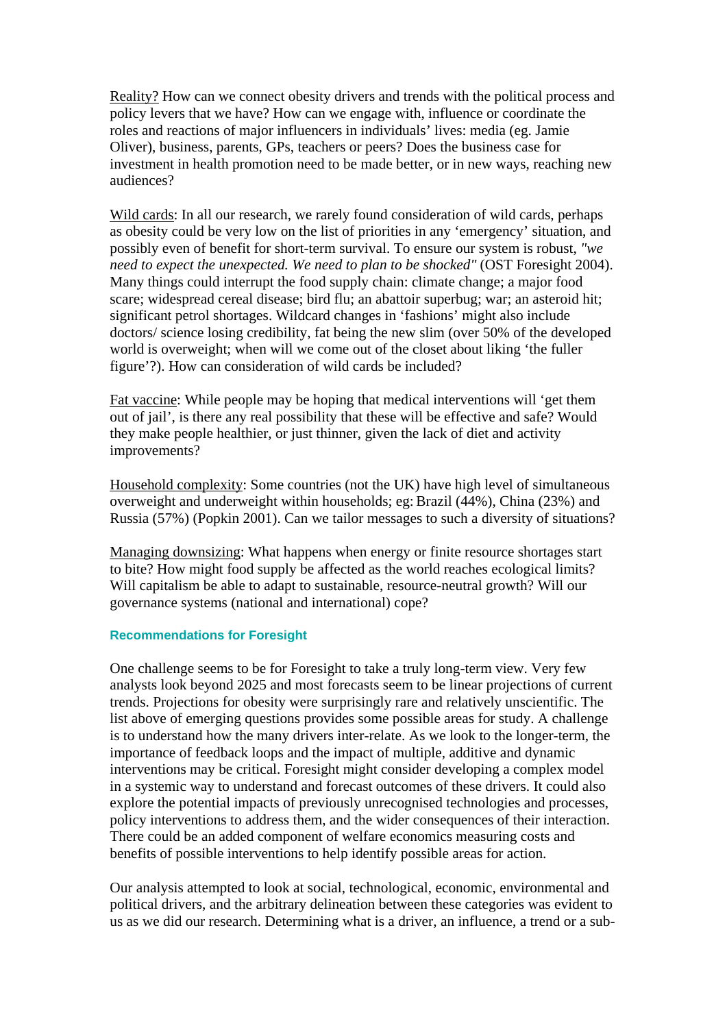Reality? How can we connect obesity drivers and trends with the political process and policy levers that we have? How can we engage with, influence or coordinate the roles and reactions of major influencers in individuals' lives: media (eg. Jamie Oliver), business, parents, GPs, teachers or peers? Does the business case for investment in health promotion need to be made better, or in new ways, reaching new audiences?

Wild cards: In all our research, we rarely found consideration of wild cards, perhaps as obesity could be very low on the list of priorities in any 'emergency' situation, and possibly even of benefit for short-term survival. To ensure our system is robust, *"we need to expect the unexpected. We need to plan to be shocked"* (OST Foresight 2004). Many things could interrupt the food supply chain: climate change; a major food scare; widespread cereal disease; bird flu; an abattoir superbug; war; an asteroid hit; significant petrol shortages. Wildcard changes in 'fashions' might also include doctors/ science losing credibility, fat being the new slim (over 50% of the developed world is overweight; when will we come out of the closet about liking 'the fuller figure'?). How can consideration of wild cards be included?

Fat vaccine: While people may be hoping that medical interventions will 'get them out of jail', is there any real possibility that these will be effective and safe? Would they make people healthier, or just thinner, given the lack of diet and activity improvements?

Household complexity: Some countries (not the UK) have high level of simultaneous overweight and underweight within households; eg:Brazil (44%), China (23%) and Russia (57%) (Popkin 2001). Can we tailor messages to such a diversity of situations?

Managing downsizing: What happens when energy or finite resource shortages start to bite? How might food supply be affected as the world reaches ecological limits? Will capitalism be able to adapt to sustainable, resource-neutral growth? Will our governance systems (national and international) cope?

#### **Recommendations for Foresight**

One challenge seems to be for Foresight to take a truly long-term view. Very few analysts look beyond 2025 and most forecasts seem to be linear projections of current trends. Projections for obesity were surprisingly rare and relatively unscientific. The list above of emerging questions provides some possible areas for study. A challenge is to understand how the many drivers inter-relate. As we look to the longer-term, the importance of feedback loops and the impact of multiple, additive and dynamic interventions may be critical. Foresight might consider developing a complex model in a systemic way to understand and forecast outcomes of these drivers. It could also explore the potential impacts of previously unrecognised technologies and processes, policy interventions to address them, and the wider consequences of their interaction. There could be an added component of welfare economics measuring costs and benefits of possible interventions to help identify possible areas for action.

Our analysis attempted to look at social, technological, economic, environmental and political drivers, and the arbitrary delineation between these categories was evident to us as we did our research. Determining what is a driver, an influence, a trend or a sub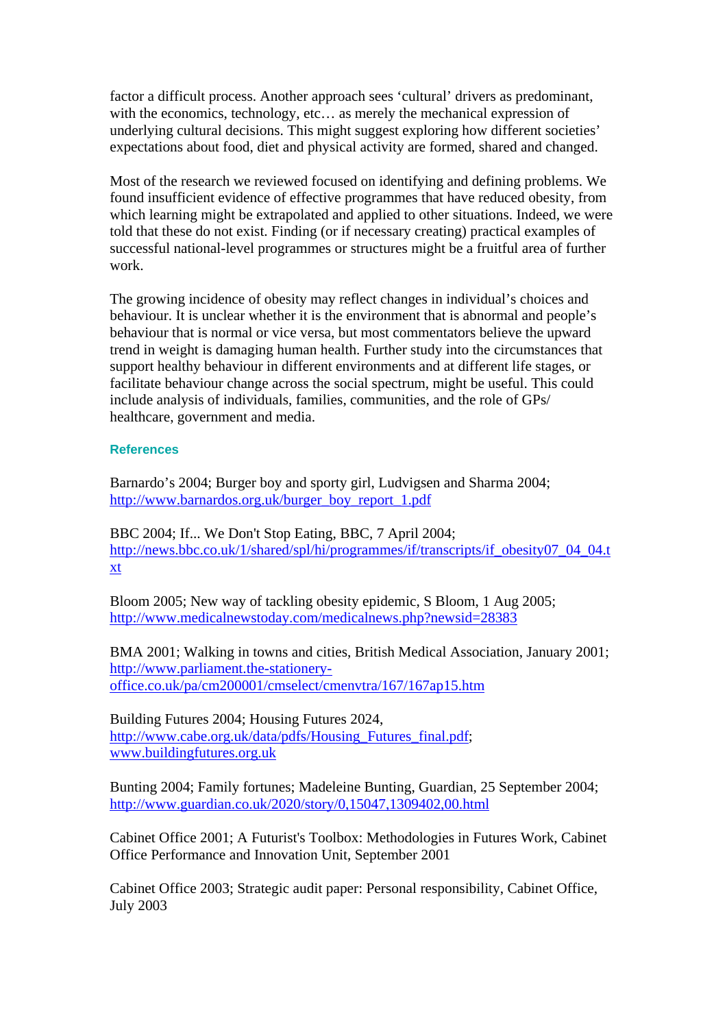factor a difficult process. Another approach sees 'cultural' drivers as predominant, with the economics, technology, etc… as merely the mechanical expression of underlying cultural decisions. This might suggest exploring how different societies' expectations about food, diet and physical activity are formed, shared and changed.

Most of the research we reviewed focused on identifying and defining problems. We found insufficient evidence of effective programmes that have reduced obesity, from which learning might be extrapolated and applied to other situations. Indeed, we were told that these do not exist. Finding (or if necessary creating) practical examples of successful national-level programmes or structures might be a fruitful area of further work.

The growing incidence of obesity may reflect changes in individual's choices and behaviour. It is unclear whether it is the environment that is abnormal and people's behaviour that is normal or vice versa, but most commentators believe the upward trend in weight is damaging human health. Further study into the circumstances that support healthy behaviour in different environments and at different life stages, or facilitate behaviour change across the social spectrum, might be useful. This could include analysis of individuals, families, communities, and the role of GPs/ healthcare, government and media.

#### **References**

Barnardo's 2004; Burger boy and sporty girl, Ludvigsen and Sharma 2004; [http://www.barnardos.org.uk/burger\\_boy\\_report\\_1.pdf](http://www.barnardos.org.uk/burger_boy_report_1.pdf)

BBC 2004; If... We Don't Stop Eating, BBC, 7 April 2004; [http://news.bbc.co.uk/1/shared/spl/hi/programmes/if/transcripts/if\\_obesity07\\_04\\_04.t](http://news.bbc.co.uk/1/shared/spl/hi/programmes/if/transcripts/if_obesity07_04_04.txt) [xt](http://news.bbc.co.uk/1/shared/spl/hi/programmes/if/transcripts/if_obesity07_04_04.txt)

Bloom 2005; New way of tackling obesity epidemic, S Bloom, 1 Aug 2005; <http://www.medicalnewstoday.com/medicalnews.php?newsid=28383>

BMA 2001; Walking in towns and cities, British Medical Association, January 2001; [http://www.parliament.the-stationery](http://www.parliament.the-stationery-office.co.uk/pa/cm200001/cmselect/cmenvtra/167/167ap15.htm)[office.co.uk/pa/cm200001/cmselect/cmenvtra/167/167ap15.htm](http://www.parliament.the-stationery-office.co.uk/pa/cm200001/cmselect/cmenvtra/167/167ap15.htm) 

Building Futures 2004; Housing Futures 2024, [http://www.cabe.org.uk/data/pdfs/Housing\\_Futures\\_final.pdf;](http://www.cabe.org.uk/data/pdfs/Housing_Futures_final.pdf) [www.buildingfutures.org.uk](http://www.buildingfutures.org.uk/)

Bunting 2004; Family fortunes; Madeleine Bunting, Guardian, 25 September 2004; <http://www.guardian.co.uk/2020/story/0,15047,1309402,00.html>

Cabinet Office 2001; A Futurist's Toolbox: Methodologies in Futures Work, Cabinet Office Performance and Innovation Unit, September 2001

Cabinet Office 2003; Strategic audit paper: Personal responsibility, Cabinet Office, July 2003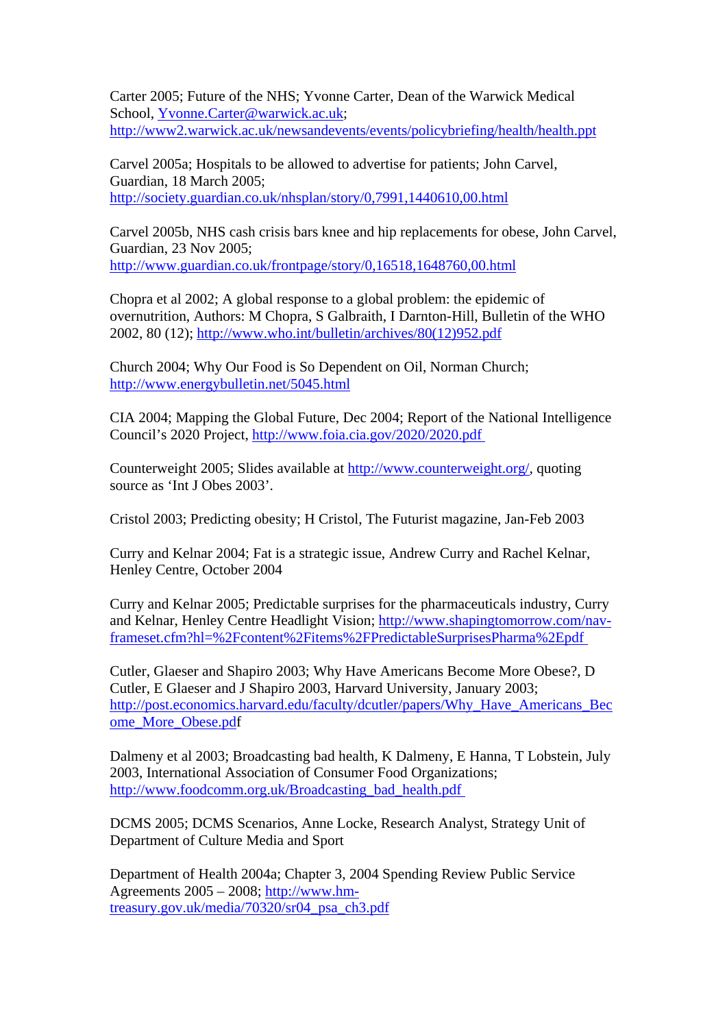Carter 2005; Future of the NHS; Yvonne Carter, Dean of the Warwick Medical School, [Yvonne.Carter@warwick.ac.uk](mailto:Yvonne.Carter@warwick.ac.uk); <http://www2.warwick.ac.uk/newsandevents/events/policybriefing/health/health.ppt>

Carvel 2005a; Hospitals to be allowed to advertise for patients; John Carvel, Guardian, 18 March 2005; <http://society.guardian.co.uk/nhsplan/story/0,7991,1440610,00.html>

Carvel 2005b, NHS cash crisis bars knee and hip replacements for obese, John Carvel, Guardian, 23 Nov 2005; <http://www.guardian.co.uk/frontpage/story/0,16518,1648760,00.html>

Chopra et al 2002; A global response to a global problem: the epidemic of overnutrition, Authors: M Chopra, S Galbraith, I Darnton-Hill, Bulletin of the WHO 2002, 80 (12); [http://www.who.int/bulletin/archives/80\(12\)952.pdf](http://www.who.int/bulletin/archives/80(12)952.pdf)

Church 2004; Why Our Food is So Dependent on Oil, Norman Church; <http://www.energybulletin.net/5045.html>

CIA 2004; Mapping the Global Future, Dec 2004; Report of the National Intelligence Council's 2020 Project, <http://www.foia.cia.gov/2020/2020.pdf>

Counterweight 2005; Slides available at [http://www.counterweight.org/,](http://www.counterweight.org/) quoting source as 'Int J Obes 2003'.

Cristol 2003; Predicting obesity; H Cristol, The Futurist magazine, Jan-Feb 2003

Curry and Kelnar 2004; Fat is a strategic issue, Andrew Curry and Rachel Kelnar, Henley Centre, October 2004

Curry and Kelnar 2005; Predictable surprises for the pharmaceuticals industry, Curry and Kelnar, Henley Centre Headlight Vision; [http://www.shapingtomorrow.com/nav](http://www.shapingtomorrow.com/nav-frameset.cfm?hl=%2Fcontent%2Fitems%2FPredictableSurprisesPharma%2Epdf)[frameset.cfm?hl=%2Fcontent%2Fitems%2FPredictableSurprisesPharma%2Epdf](http://www.shapingtomorrow.com/nav-frameset.cfm?hl=%2Fcontent%2Fitems%2FPredictableSurprisesPharma%2Epdf) 

Cutler, Glaeser and Shapiro 2003; Why Have Americans Become More Obese?, D Cutler, E Glaeser and J Shapiro 2003, Harvard University, January 2003; [http://post.economics.harvard.edu/faculty/dcutler/papers/Why\\_Have\\_Americans\\_Bec](http://post.economics.harvard.edu/faculty/dcutler/papers/Why_Have_Americans_Become_More_Obese.pd) [ome\\_More\\_Obese.pdf](http://post.economics.harvard.edu/faculty/dcutler/papers/Why_Have_Americans_Become_More_Obese.pd)

Dalmeny et al 2003; Broadcasting bad health, K Dalmeny, E Hanna, T Lobstein, July 2003, International Association of Consumer Food Organizations; [http://www.foodcomm.org.uk/Broadcasting\\_bad\\_health.pdf](http://www.foodcomm.org.uk/Broadcasting_bad_health.pdf) 

DCMS 2005; DCMS Scenarios, Anne Locke, Research Analyst, Strategy Unit of Department of Culture Media and Sport

Department of Health 2004a; Chapter 3, 2004 Spending Review Public Service Agreements 2005 – 2008; [http://www.hm](http://www.hm-treasury.gov.uk/media/70320/sr04_psa_ch3.pdf)[treasury.gov.uk/media/70320/sr04\\_psa\\_ch3.pdf](http://www.hm-treasury.gov.uk/media/70320/sr04_psa_ch3.pdf)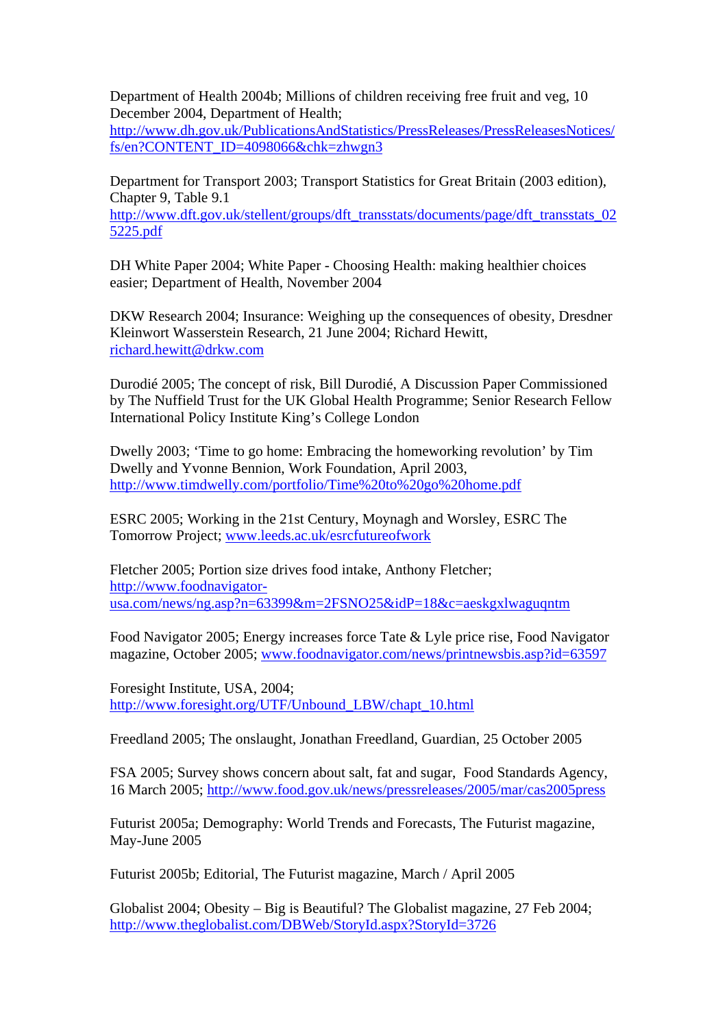Department of Health 2004b; Millions of children receiving free fruit and veg, 10 December 2004, Department of Health;

[http://www.dh.gov.uk/PublicationsAndStatistics/PressReleases/PressReleasesNotices/](http://www.dh.gov.uk/PublicationsAndStatistics/PressReleases/PressReleasesNotices/fs/en?CONTENT_ID=4098066&chk=zhwgn3) [fs/en?CONTENT\\_ID=4098066&chk=zhwgn3](http://www.dh.gov.uk/PublicationsAndStatistics/PressReleases/PressReleasesNotices/fs/en?CONTENT_ID=4098066&chk=zhwgn3)

Department for Transport 2003; Transport Statistics for Great Britain (2003 edition), Chapter 9, Table 9.1

[http://www.dft.gov.uk/stellent/groups/dft\\_transstats/documents/page/dft\\_transstats\\_02](http://www.dft.gov.uk/stellent/groups/dft_transstats/documents/page/dft_transstats_025225.pdf) [5225.pdf](http://www.dft.gov.uk/stellent/groups/dft_transstats/documents/page/dft_transstats_025225.pdf)

DH White Paper 2004; White Paper - Choosing Health: making healthier choices easier; Department of Health, November 2004

DKW Research 2004; Insurance: Weighing up the consequences of obesity, Dresdner Kleinwort Wasserstein Research, 21 June 2004; Richard Hewitt, [richard.hewitt@drkw.com](mailto:richard.hewitt@drkw.com)

Durodié 2005; The concept of risk, Bill Durodié, A Discussion Paper Commissioned by The Nuffield Trust for the UK Global Health Programme; Senior Research Fellow International Policy Institute King's College London

Dwelly 2003; 'Time to go home: Embracing the homeworking revolution' by Tim Dwelly and Yvonne Bennion, Work Foundation, April 2003, <http://www.timdwelly.com/portfolio/Time%20to%20go%20home.pdf>

ESRC 2005; Working in the 21st Century, Moynagh and Worsley, ESRC The Tomorrow Project; [www.leeds.ac.uk/esrcfutureofwork](http://www.leeds.ac.uk/esrcfutureofwork) 

Fletcher 2005; Portion size drives food intake, Anthony Fletcher; [http://www.foodnavigator](http://www.foodnavigator-usa.com/news/ng.asp?n=63399&m=2FSNO25&idP=18&c=aeskgxlwaguqntm)[usa.com/news/ng.asp?n=63399&m=2FSNO25&idP=18&c=aeskgxlwaguqntm](http://www.foodnavigator-usa.com/news/ng.asp?n=63399&m=2FSNO25&idP=18&c=aeskgxlwaguqntm)

Food Navigator 2005; Energy increases force Tate & Lyle price rise, Food Navigator magazine, October 2005; [www.foodnavigator.com/news/printnewsbis.asp?id=63597](http://www.foodnavigator.com/news/printnewsbis.asp?id=63597)

Foresight Institute, USA, 2004[;](http://www.foresight.org/UTF/Unbound_LBW/chapt_10.html) [http://www.foresight.org/UTF/Unbound\\_LBW/chapt\\_10.html](http://www.foresight.org/UTF/Unbound_LBW/chapt_10.html)

Freedland 2005; The onslaught, Jonathan Freedland, Guardian, 25 October 2005

FSA 2005; Survey shows concern about salt, fat and sugar, Food Standards Agency, 16 March 2005; <http://www.food.gov.uk/news/pressreleases/2005/mar/cas2005press>

Futurist 2005a; Demography: World Trends and Forecasts, The Futurist magazine, May-June 2005

Futurist 2005b; Editorial, The Futurist magazine, March / April 2005

Globalist 2004; Obesity – Big is Beautiful? The Globalist magazine, 27 Feb 2004; <http://www.theglobalist.com/DBWeb/StoryId.aspx?StoryId=3726>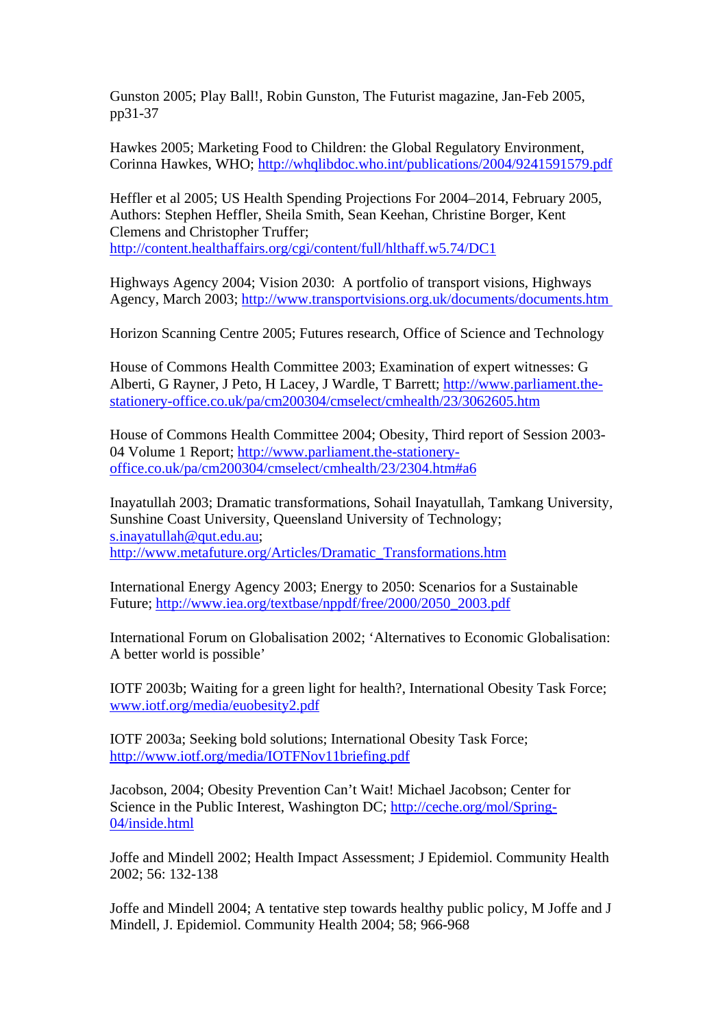Gunston 2005; Play Ball!, Robin Gunston, The Futurist magazine, Jan-Feb 2005, pp31-37

Hawkes 2005; Marketing Food to Children: the Global Regulatory Environment, Corinna Hawkes, WHO;<http://whqlibdoc.who.int/publications/2004/9241591579.pdf>

Heffler et al 2005; US Health Spending Projections For 2004–2014, February 2005, Authors: Stephen Heffler, Sheila Smith, Sean Keehan, Christine Borger, Kent Clemens and Christopher Truffer; <http://content.healthaffairs.org/cgi/content/full/hlthaff.w5.74/DC1>

Highways Agency 2004; Vision 2030: A portfolio of transport visions, Highways Agency, March 2003;<http://www.transportvisions.org.uk/documents/documents.htm>

Horizon Scanning Centre 2005; Futures research, Office of Science and Technology

House of Commons Health Committee 2003; Examination of expert witnesses: G Alberti, G Rayner, J Peto, H Lacey, J Wardle, T Barrett; [http://www.parliament.the](http://www.parliament.the-stationery-office.co.uk/pa/cm200304/cmselect/cmhealth/23/3062605.htm)[stationery-office.co.uk/pa/cm200304/cmselect/cmhealth/23/3062605.htm](http://www.parliament.the-stationery-office.co.uk/pa/cm200304/cmselect/cmhealth/23/3062605.htm)

House of Commons Health Committee 2004; Obesity, Third report of Session 2003- 04 Volume 1 Report; [http://www.parliament.the-stationery](http://www.parliament.the-stationery-office.co.uk/pa/cm200304/cmselect/cmhealth/23/2304.htm#a6)[office.co.uk/pa/cm200304/cmselect/cmhealth/23/2304.htm#a6](http://www.parliament.the-stationery-office.co.uk/pa/cm200304/cmselect/cmhealth/23/2304.htm#a6)

Inayatullah 2003; Dramatic transformations, Sohail Inayatullah, Tamkang University, Sunshine Coast University, Queensland University of Technology; [s.inayatullah@qut.edu.au](mailto:s.inayatullah@qut.edu.au); [http://www.metafuture.org/Articles/Dramatic\\_Transformations.htm](http://www.metafuture.org/Articles/Dramatic_Transformations.htm)

International Energy Agency 2003; Energy to 2050: Scenarios for a Sustainable Future; [http://www.iea.org/textbase/nppdf/free/2000/2050\\_2003.pdf](http://www.iea.org/textbase/nppdf/free/2000/2050_2003.pdf)

International Forum on Globalisation 2002; 'Alternatives to Economic Globalisation: A better world is possible'

IOTF 2003b; Waiting for a green light for health?, International Obesity Task Force; [www.iotf.org/media/euobesity2.pdf](http://www.iotf.org/media/euobesity2.pdf)

IOTF 2003a; Seeking bold solutions; International Obesity Task Force; <http://www.iotf.org/media/IOTFNov11briefing.pdf>

Jacobson, 2004; Obesity Prevention Can't Wait! Michael Jacobson; Center for Science in the Public Interest, Washington DC; [http://ceche.org/mol/Spring-](http://ceche.org/mol/Spring-04/inside.html)[04/inside.html](http://ceche.org/mol/Spring-04/inside.html)

Joffe and Mindell 2002; Health Impact Assessment; J Epidemiol. Community Health 2002; 56: 132-138

Joffe and Mindell 2004; A tentative step towards healthy public policy, M Joffe and J Mindell, J. Epidemiol. Community Health 2004; 58; 966-968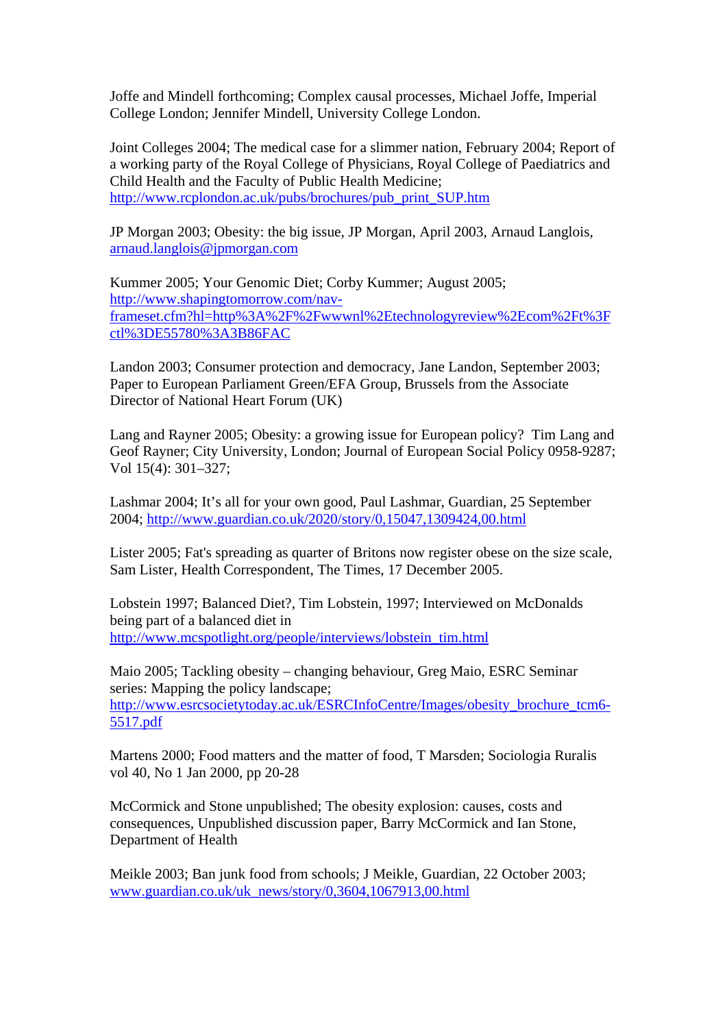Joffe and Mindell forthcoming; Complex causal processes, Michael Joffe, Imperial College London; Jennifer Mindell, University College London.

Joint Colleges 2004; The medical case for a slimmer nation, February 2004; Report of a working party of the Royal College of Physicians, Royal College of Paediatrics and Child Health and the Faculty of Public Health Medicine; [http://www.rcplondon.ac.uk/pubs/brochures/pub\\_print\\_SUP.htm](http://www.rcplondon.ac.uk/pubs/brochures/pub_print_SUP.htm)

JP Morgan 2003; Obesity: the big issue, JP Morgan, April 2003, Arnaud Langlois, [arnaud.langlois@jpmorgan.com](mailto:arnaud.langlois@jpmorgan.com)

Kummer 2005; Your Genomic Diet; Corby Kummer; August 2005; [http://www.shapingtomorrow.com/nav](http://www.shapingtomorrow.com/nav-frameset.cfm?hl=http%3A%2F%2Fwwwnl%2Etechnologyreview%2Ecom%2Ft%3Fctl%3DE55780%3A3B86FAC)[frameset.cfm?hl=http%3A%2F%2Fwwwnl%2Etechnologyreview%2Ecom%2Ft%3F](http://www.shapingtomorrow.com/nav-frameset.cfm?hl=http%3A%2F%2Fwwwnl%2Etechnologyreview%2Ecom%2Ft%3Fctl%3DE55780%3A3B86FAC) [ctl%3DE55780%3A3B86FAC](http://www.shapingtomorrow.com/nav-frameset.cfm?hl=http%3A%2F%2Fwwwnl%2Etechnologyreview%2Ecom%2Ft%3Fctl%3DE55780%3A3B86FAC)

Landon 2003; Consumer protection and democracy, Jane Landon, September 2003; Paper to European Parliament Green/EFA Group, Brussels from the Associate Director of National Heart Forum (UK)

Lang and Rayner 2005; Obesity: a growing issue for European policy? Tim Lang and Geof Rayner; City University, London; Journal of European Social Policy 0958-9287; Vol 15(4): 301–327;

Lashmar 2004; It's all for your own good, Paul Lashmar, Guardian, 25 September 2004;<http://www.guardian.co.uk/2020/story/0,15047,1309424,00.html>

Lister 2005; Fat's spreading as quarter of Britons now register obese on the size scale, Sam Lister, Health Correspondent, The Times, 17 December 2005.

Lobstein 1997; Balanced Diet?, Tim Lobstein, 1997; Interviewed on McDonalds being part of a balanced diet in [http://www.mcspotlight.org/people/interviews/lobstein\\_tim.html](http://www.mcspotlight.org/people/interviews/lobstein_tim.html)

Maio 2005; Tackling obesity – changing behaviour, Greg Maio, ESRC Seminar series: Mapping the policy landscape; [http://www.esrcsocietytoday.ac.uk/ESRCInfoCentre/Images/obesity\\_brochure\\_tcm6-](http://www.esrcsocietytoday.ac.uk/ESRCInfoCentre/Images/obesity_brochure_tcm6-5517.pdf) [5517.pdf](http://www.esrcsocietytoday.ac.uk/ESRCInfoCentre/Images/obesity_brochure_tcm6-5517.pdf)

Martens 2000; Food matters and the matter of food, T Marsden; Sociologia Ruralis vol 40, No 1 Jan 2000, pp 20-28

McCormick and Stone unpublished; The obesity explosion: causes, costs and consequences, Unpublished discussion paper, Barry McCormick and Ian Stone, Department of Health

Meikle 2003; Ban junk food from schools; J Meikle, Guardian, 22 October 2003; [www.guardian.co.uk/uk\\_news/story/0,3604,1067913,00.html](http://www.guardian.co.uk/uk_news/story/0,3604,1067913,00.html)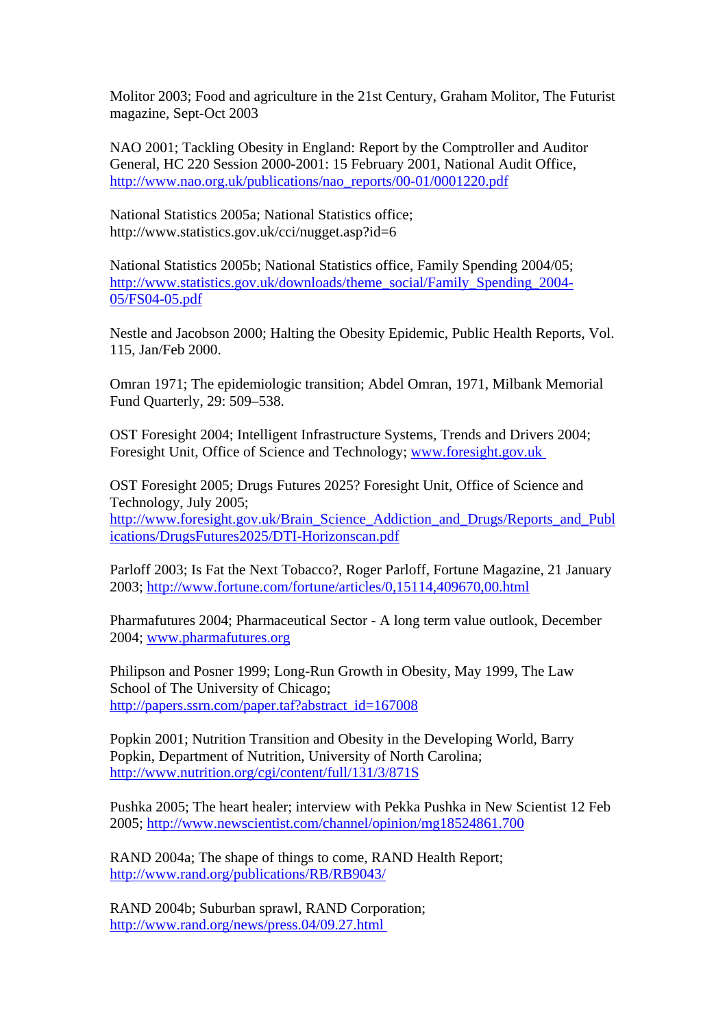Molitor 2003; Food and agriculture in the 21st Century, Graham Molitor, The Futurist magazine, Sept-Oct 2003

NAO 2001; Tackling Obesity in England: Report by the Comptroller and Auditor General, HC 220 Session 2000-2001: 15 February 2001, National Audit Office, [http://www.nao.org.uk/publications/nao\\_reports/00-01/0001220.pdf](http://www.nao.org.uk/publications/nao_reports/00-01/0001220.pdf)

National Statistics 2005a; National Statistics office; http://www.statistics.gov.uk/cci/nugget.asp?id=6

National Statistics 2005b; National Statistics office, Family Spending 2004/05; [http://www.statistics.gov.uk/downloads/theme\\_social/Family\\_Spending\\_2004-](http://www.statistics.gov.uk/downloads/theme_social/Family_Spending_2004-05/FS04-05.pdf) [05/FS04-05.pdf](http://www.statistics.gov.uk/downloads/theme_social/Family_Spending_2004-05/FS04-05.pdf)

Nestle and Jacobson 2000; Halting the Obesity Epidemic, Public Health Reports, Vol. 115, Jan/Feb 2000.

Omran 1971; The epidemiologic transition; Abdel Omran, 1971, Milbank Memorial Fund Quarterly, 29: 509–538.

OST Foresight 2004; Intelligent Infrastructure Systems, Trends and Drivers 2004; Foresight Unit, Office of Science and Technology; [www.foresight.gov.uk](http://www.foresight.gov.uk/index.html) 

OST Foresight 2005; Drugs Futures 2025? Foresight Unit, Office of Science and Technology, July 2005; [http://www.foresight.gov.uk/Brain\\_Science\\_Addiction\\_and\\_Drugs/Reports\\_and\\_Publ](http://www.foresight.gov.uk/Brain_Science_Addiction_and_Drugs/Reports_and_Publications/DrugsFutures2025/DTI-Horizonscan.pdf) [ications/DrugsFutures2025/DTI-Horizonscan.pdf](http://www.foresight.gov.uk/Brain_Science_Addiction_and_Drugs/Reports_and_Publications/DrugsFutures2025/DTI-Horizonscan.pdf)

Parloff 2003; Is Fat the Next Tobacco?, Roger Parloff, Fortune Magazine, 21 January 2003;<http://www.fortune.com/fortune/articles/0,15114,409670,00.html>

Pharmafutures 2004; Pharmaceutical Sector - A long term value outlook, December 2004; [www.pharmafutures.org](http://www.pharmafutures.org/) 

Philipson and Posner 1999; Long-Run Growth in Obesity, May 1999, The Law School of The University of Chicago; [http://papers.ssrn.com/paper.taf?abstract\\_id=167008](http://papers.ssrn.com/paper.taf?abstract_id=167008)

Popkin 2001; Nutrition Transition and Obesity in the Developing World, Barry Popkin, Department of Nutrition, University of North Carolina; <http://www.nutrition.org/cgi/content/full/131/3/871S>

Pushka 2005; The heart healer; interview with Pekka Pushka in New Scientist 12 Feb 2005;<http://www.newscientist.com/channel/opinion/mg18524861.700>

RAND 2004a; The shape of things to come, RAND Health Report; <http://www.rand.org/publications/RB/RB9043/>

RAND 2004b; Suburban sprawl, RAND Corporation; <http://www.rand.org/news/press.04/09.27.html>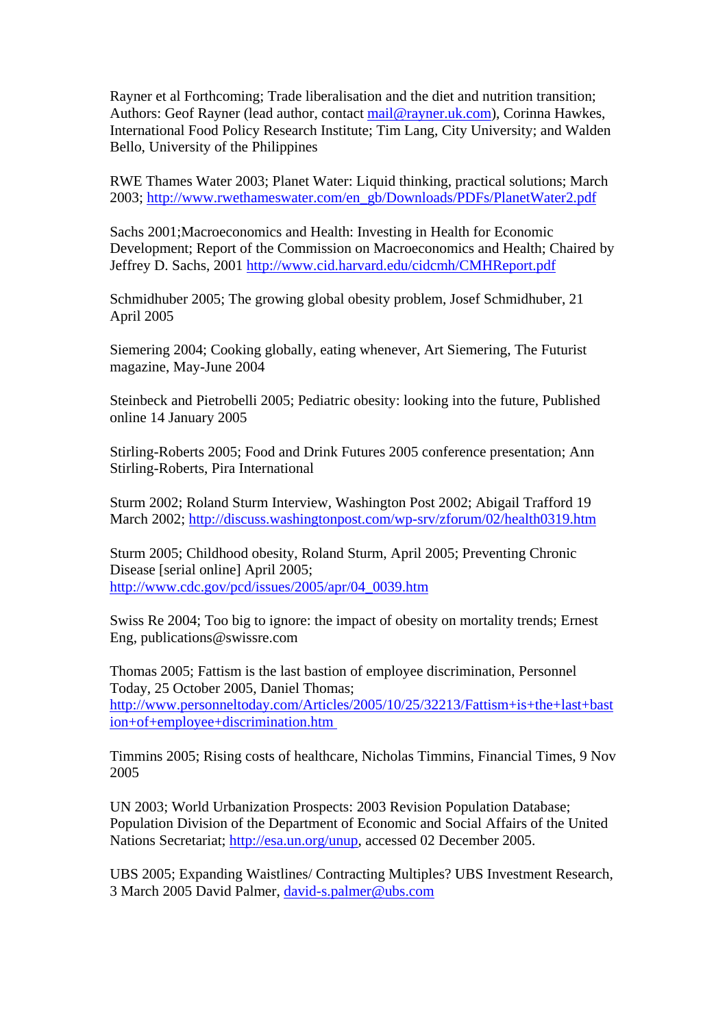Rayner et al Forthcoming; Trade liberalisation and the diet and nutrition transition; Authors: Geof Rayner (lead author, contact [mail@rayner.uk.com\)](mailto:mail@rayner.uk.com), Corinna Hawkes, International Food Policy Research Institute; Tim Lang, City University; and Walden Bello, University of the Philippines

RWE Thames Water 2003; Planet Water: Liquid thinking, practical solutions; March 2003; [http://www.rwethameswater.com/en\\_gb/Downloads/PDFs/PlanetWater2.pdf](http://www.rwethameswater.com/en_gb/Downloads/PDFs/PlanetWater2.pdf)

Sachs 2001;Macroeconomics and Health: Investing in Health for Economic Development; Report of the Commission on Macroeconomics and Health; Chaired by Jeffrey D. Sachs, 2001<http://www.cid.harvard.edu/cidcmh/CMHReport.pdf>

Schmidhuber 2005; The growing global obesity problem, Josef Schmidhuber, 21 April 2005

Siemering 2004; Cooking globally, eating whenever, Art Siemering, The Futurist magazine, May-June 2004

Steinbeck and Pietrobelli 2005; Pediatric obesity: looking into the future, Published online 14 January 2005

Stirling-Roberts 2005; Food and Drink Futures 2005 conference presentation; Ann Stirling-Roberts, Pira International

Sturm 2002; Roland Sturm Interview, Washington Post 2002; Abigail Trafford 19 March 2002; <http://discuss.washingtonpost.com/wp-srv/zforum/02/health0319.htm>

Sturm 2005; Childhood obesity, Roland Sturm, April 2005; Preventing Chronic Disease [serial online] April 2005; [http://www.cdc.gov/pcd/issues/2005/apr/04\\_0039.htm](http://www.cdc.gov/pcd/issues/2005/apr/04_0039.htm)

Swiss Re 2004; Too big to ignore: the impact of obesity on mortality trends; Ernest Eng, publications@swissre.com

Thomas 2005; Fattism is the last bastion of employee discrimination, Personnel Today, 25 October 2005, Daniel Thomas; [http://www.personneltoday.com/Articles/2005/10/25/32213/Fattism+is+the+last+bast](http://www.personneltoday.com/Articles/2005/10/25/32213/Fattism+is+the+last+bastion+of+employee+discrimination.htm) [ion+of+employee+discrimination.htm](http://www.personneltoday.com/Articles/2005/10/25/32213/Fattism+is+the+last+bastion+of+employee+discrimination.htm) 

Timmins 2005; Rising costs of healthcare, Nicholas Timmins, Financial Times, 9 Nov 2005

UN 2003; World Urbanization Prospects: 2003 Revision Population Database; Population Division of the Department of Economic and Social Affairs of the United Nations Secretariat;<http://esa.un.org/unup>, accessed 02 December 2005.

UBS 2005; Expanding Waistlines/ Contracting Multiples? UBS Investment Research, 3 March 2005 David Palmer, [david-s.palmer@ubs.com](mailto:david-s.palmer@ubs.com)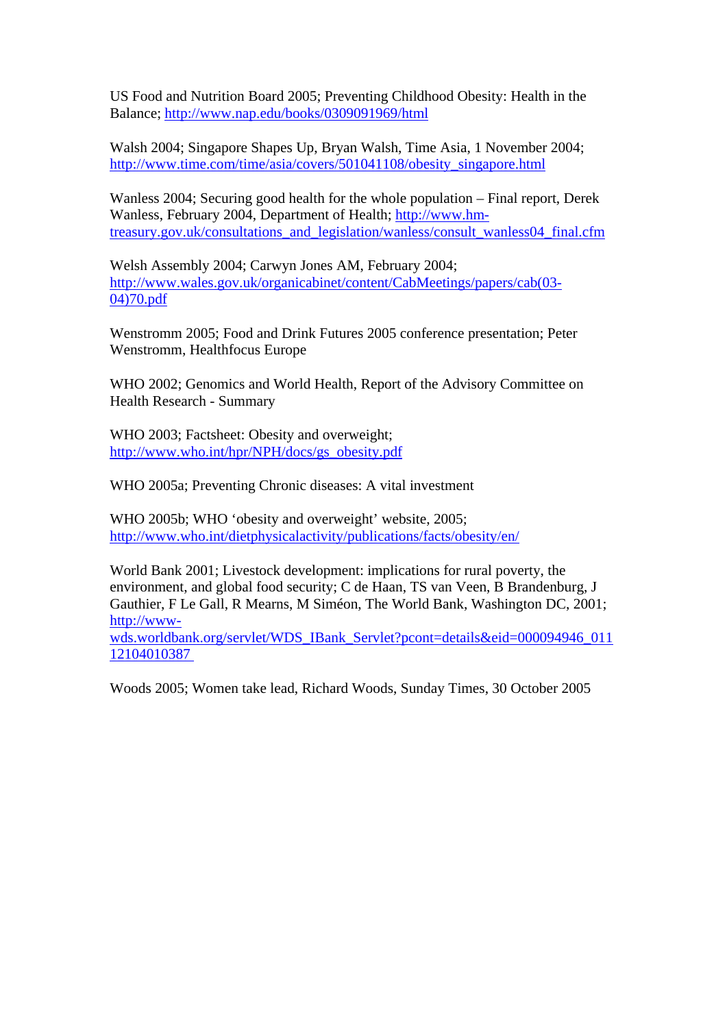US Food and Nutrition Board 2005; Preventing Childhood Obesity: Health in the Balance;<http://www.nap.edu/books/0309091969/html>

Walsh 2004; Singapore Shapes Up, Bryan Walsh, Time Asia, 1 November 2004; [http://www.time.com/time/asia/covers/501041108/obesity\\_singapore.html](http://www.time.com/time/asia/covers/501041108/obesity_singapore.html)

Wanless 2004; Securing good health for the whole population – Final report, Derek Wanless, February 2004, Department of Health; [http://www.hm](http://www.hm-treasury.gov.uk/consultations_and_legislation/wanless/consult_wanless04_final.cfm)[treasury.gov.uk/consultations\\_and\\_legislation/wanless/consult\\_wanless04\\_final.cfm](http://www.hm-treasury.gov.uk/consultations_and_legislation/wanless/consult_wanless04_final.cfm)

Welsh Assembly 2004; Carwyn Jones AM, February 2004; [http://www.wales.gov.uk/organicabinet/content/CabMeetings/papers/cab\(03-](http://www.wales.gov.uk/organicabinet/content/CabMeetings/papers/cab(03-04)70.pdf) [04\)70.pdf](http://www.wales.gov.uk/organicabinet/content/CabMeetings/papers/cab(03-04)70.pdf)

Wenstromm 2005; Food and Drink Futures 2005 conference presentation; Peter Wenstromm, Healthfocus Europe

WHO 2002; Genomics and World Health, Report of the Advisory Committee on Health Research - Summary

WHO 2003; Factsheet: Obesity and overweight; [http://www.who.int/hpr/NPH/docs/gs\\_obesity.pdf](http://www.who.int/hpr/NPH/docs/gs_obesity.pdf)

WHO 2005a; Preventing Chronic diseases: A vital investment

WHO 2005b; WHO 'obesity and overweight' website, 2005; <http://www.who.int/dietphysicalactivity/publications/facts/obesity/en/>

World Bank 2001; Livestock development: implications for rural poverty, the environment, and global food security; C de Haan, TS van Veen, B Brandenburg, J Gauthier, F Le Gall, R Mearns, M Siméon, The World Bank, Washington DC, 2001; [http://www](http://www-wds.worldbank.org/servlet/WDS_IBank_Servlet?pcont=details&eid=000094946_01112104010387)[wds.worldbank.org/servlet/WDS\\_IBank\\_Servlet?pcont=details&eid=000094946\\_011](http://www-wds.worldbank.org/servlet/WDS_IBank_Servlet?pcont=details&eid=000094946_01112104010387)

[12104010387](http://www-wds.worldbank.org/servlet/WDS_IBank_Servlet?pcont=details&eid=000094946_01112104010387) 

Woods 2005; Women take lead, Richard Woods, Sunday Times, 30 October 2005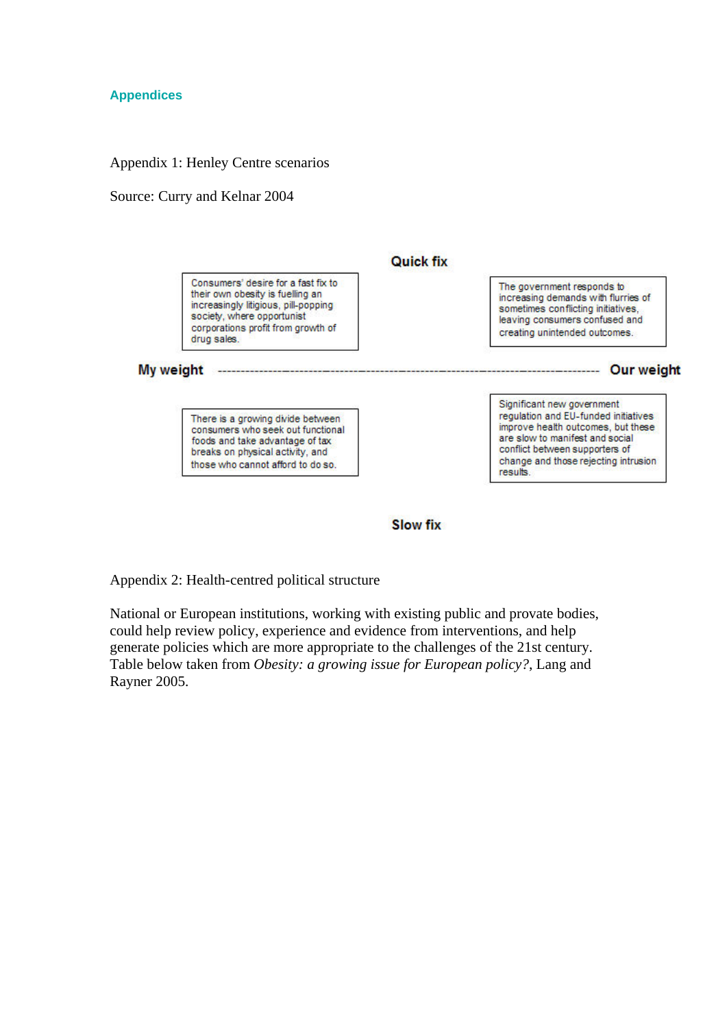# **Appendices**

#### Appendix 1: Henley Centre scenarios

#### Source: Curry and Kelnar 2004

![](_page_40_Figure_3.jpeg)

**Slow fix** 

Appendix 2: Health-centred political structure

National or European institutions, working with existing public and provate bodies, could help review policy, experience and evidence from interventions, and help generate policies which are more appropriate to the challenges of the 21st century. Table below taken from *Obesity: a growing issue for European policy?*, Lang and Rayner 2005.